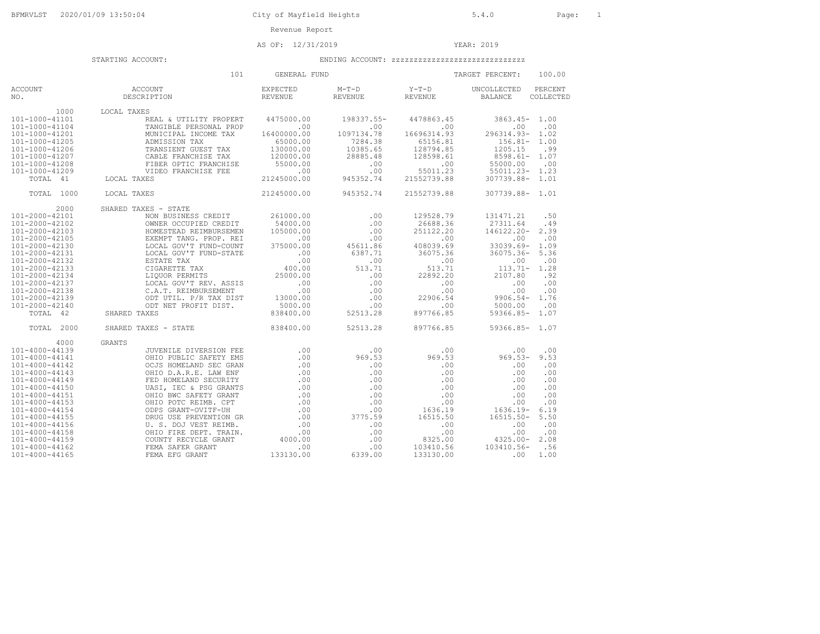AS OF: 12/31/2019 YEAR: 2019

|                                                                                                                                                                                                                                                                                                                  | 101                                                                                                                                                                                                                                                                                                                                                                                        | GENERAL FUND                                                                                                                                 |                                                                                                                  |                                                                                                                                               | 100.00<br>TARGET PERCENT:                                                                                                                                                                                                                                               |
|------------------------------------------------------------------------------------------------------------------------------------------------------------------------------------------------------------------------------------------------------------------------------------------------------------------|--------------------------------------------------------------------------------------------------------------------------------------------------------------------------------------------------------------------------------------------------------------------------------------------------------------------------------------------------------------------------------------------|----------------------------------------------------------------------------------------------------------------------------------------------|------------------------------------------------------------------------------------------------------------------|-----------------------------------------------------------------------------------------------------------------------------------------------|-------------------------------------------------------------------------------------------------------------------------------------------------------------------------------------------------------------------------------------------------------------------------|
| <b>ACCOUNT</b><br>NO.                                                                                                                                                                                                                                                                                            | ACCOUNT<br>DESCRIPTION                                                                                                                                                                                                                                                                                                                                                                     | <b>EXPECTED</b><br><b>REVENUE</b>                                                                                                            | $M-T-D$<br><b>REVENUE</b>                                                                                        | $Y-T-D$<br><b>REVENUE</b>                                                                                                                     | UNCOLLECTED<br>PERCENT<br><b>BALANCE</b><br>COLLECTED                                                                                                                                                                                                                   |
| 1000<br>101-1000-41101<br>101-1000-41104<br>101-1000-41201<br>101-1000-41205<br>101-1000-41206<br>101-1000-41207<br>101-1000-41208<br>101-1000-41209<br>TOTAL<br>41                                                                                                                                              | LOCAL TAXES<br>REAL & UTILITY PROPERT<br>TANGIBLE PERSONAL PROP<br>MUNICIPAL INCOME TAX<br>ADMISSION TAX<br>TRANSIENT GUEST TAX<br>CABLE FRANCHISE TAX<br>FIBER OPTIC FRANCHISE<br>VIDEO FRANCHISE FEE<br>LOCAL TAXES                                                                                                                                                                      | 4475000.00<br>.00<br>16400000.00<br>65000.00<br>130000.00<br>120000.00<br>55000.00<br>$.00$<br>21245000.00                                   | 198337.55-<br>.00<br>1097134.78<br>7284.38<br>10385.65<br>28885.48<br>.00<br>.00<br>945352.74                    | 4478863.45<br>.00<br>16696314.93<br>65156.81<br>128794.85<br>128598.61<br>.00<br>55011.23<br>21552739.88                                      | $3863.45-$<br>1.00<br>.00<br>.00<br>296314.93-<br>1.02<br>$156.81-$<br>1.00<br>1205.15<br>.99<br>$8598.61 -$<br>1.07<br>55000.00<br>.00<br>$55011.23 -$<br>1.23<br>307739.88-<br>1.01                                                                                   |
| TOTAL<br>1000                                                                                                                                                                                                                                                                                                    | LOCAL TAXES                                                                                                                                                                                                                                                                                                                                                                                | 21245000.00                                                                                                                                  | 945352.74                                                                                                        | 21552739.88                                                                                                                                   | 307739.88-<br>1.01                                                                                                                                                                                                                                                      |
| 2000<br>$101 - 2000 - 42101$<br>101-2000-42102<br>101-2000-42103<br>101-2000-42105<br>101-2000-42130<br>101-2000-42131<br>101-2000-42132<br>101-2000-42133<br>101-2000-42134<br>101-2000-42137<br>101-2000-42138<br>101-2000-42139<br>101-2000-42140<br>TOTAL 42                                                 | SHARED TAXES - STATE<br>NON BUSINESS CREDIT<br>OWNER OCCUPIED CREDIT<br>HOMESTEAD REIMBURSEMEN<br>EXEMPT TANG. PROP. REI<br>LOCAL GOV'T FUND-COUNT<br>LOCAL GOV'T FUND-STATE<br>ESTATE TAX<br>CIGARETTE TAX<br>LIOUOR PERMITS<br>LOCAL GOV'T REV. ASSIS<br>C.A.T. REIMBURSEMENT<br>ODT UTIL. P/R TAX DIST<br>ODT NET PROFIT DIST.<br>SHARED TAXES                                          | 261000.00<br>54000.00<br>105000.00<br>.00<br>375000.00<br>.00<br>.00<br>400.00<br>25000.00<br>.00<br>.00<br>13000.00<br>5000.00<br>838400.00 | .00<br>.00<br>.00<br>.00<br>45611.86<br>6387.71<br>.00<br>513.71<br>.00<br>.00<br>.00<br>.00<br>.00<br>52513.28  | 129528.79<br>26688.36<br>251122.20<br>.00<br>408039.69<br>36075.36<br>.00<br>513.71<br>22892.20<br>.00<br>.00<br>22906.54<br>.00<br>897766.85 | 131471.21<br>.50<br>27311.64<br>.49<br>146122.20-<br>2.39<br>.00<br>.00<br>$33039.69 -$<br>1.09<br>$36075.36 -$<br>5.36<br>.00<br>.00<br>$113.71-$<br>1.28<br>2107.80<br>.92<br>.00<br>.00<br>.00<br>.00<br>$9906.54-$<br>1.76<br>.00<br>5000.00<br>$59366.85-$<br>1.07 |
| 2000<br>TOTAL                                                                                                                                                                                                                                                                                                    | SHARED TAXES - STATE                                                                                                                                                                                                                                                                                                                                                                       | 838400.00                                                                                                                                    | 52513.28                                                                                                         | 897766.85                                                                                                                                     | $59366.85 - 1.07$                                                                                                                                                                                                                                                       |
| 4000<br>101-4000-44139<br>101-4000-44141<br>$101 - 4000 - 44142$<br>101-4000-44143<br>101-4000-44149<br>101-4000-44150<br>$101 - 4000 - 44151$<br>$101 - 4000 - 44153$<br>101-4000-44154<br>$101 - 4000 - 44155$<br>101-4000-44156<br>101-4000-44158<br>$101 - 4000 - 44159$<br>101-4000-44162<br>101-4000-44165 | <b>GRANTS</b><br>JUVENILE DIVERSION FEE<br>OHIO PUBLIC SAFETY EMS<br>OCJS HOMELAND SEC GRAN<br>OHIO D.A.R.E. LAW ENF<br>FED HOMELAND SECURITY<br>UASI, IEC & PSG GRANTS<br>OHIO BWC SAFETY GRANT<br>OHIO POTC REIMB. CPT<br>ODPS GRANT-OVITF-UH<br>DRUG USE PREVENTION GR<br>U. S. DOJ VEST REIMB.<br>OHIO FIRE DEPT. TRAIN.<br>COUNTY RECYCLE GRANT<br>FEMA SAFER GRANT<br>FEMA EFG GRANT | .00<br>.00<br>.00<br>.00<br>.00<br>.00<br>.00<br>.00<br>.00<br>.00<br>.00<br>.00<br>4000.00<br>.00<br>133130.00                              | .00<br>969.53<br>.00<br>.00<br>.00<br>.00<br>.00<br>.00<br>.00<br>3775.59<br>.00<br>.00<br>.00<br>.00<br>6339.00 | .00<br>969.53<br>.00<br>.00<br>.00<br>.00<br>.00<br>.00<br>1636.19<br>16515.50<br>.00<br>.00<br>8325.00<br>103410.56<br>133130.00             | .00<br>.00<br>$969.53 -$<br>9.53<br>.00<br>.00<br>.00<br>.00<br>.00<br>.00<br>.00<br>.00<br>.00<br>.00<br>.00<br>.00<br>$1636.19-$<br>6.19<br>$16515.50 -$<br>5.50<br>.00<br>.00<br>.00<br>.00<br>$4325.00 -$<br>2.08<br>103410.56-<br>.56<br>1.00<br>.00               |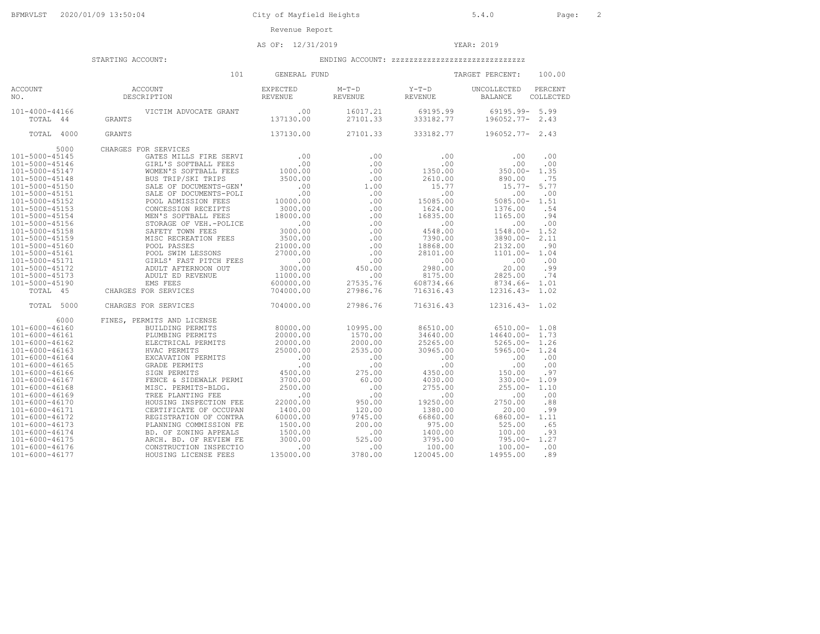AS OF: 12/31/2019 YEAR: 2019

|                                                                                                                                                                                                                                                                                                                                                                | 101                                                                                                                                                                                                                                                                                                                                                                                                                                                                      | GENERAL FUND                                                                                                                                                                                   |                                                                                                                                                           |                                                                                                                                                                                                 | TARGET PERCENT:<br>100.00                                                                                                                                                                                                                                                                                                                                    |
|----------------------------------------------------------------------------------------------------------------------------------------------------------------------------------------------------------------------------------------------------------------------------------------------------------------------------------------------------------------|--------------------------------------------------------------------------------------------------------------------------------------------------------------------------------------------------------------------------------------------------------------------------------------------------------------------------------------------------------------------------------------------------------------------------------------------------------------------------|------------------------------------------------------------------------------------------------------------------------------------------------------------------------------------------------|-----------------------------------------------------------------------------------------------------------------------------------------------------------|-------------------------------------------------------------------------------------------------------------------------------------------------------------------------------------------------|--------------------------------------------------------------------------------------------------------------------------------------------------------------------------------------------------------------------------------------------------------------------------------------------------------------------------------------------------------------|
| <b>ACCOUNT</b><br>NO.                                                                                                                                                                                                                                                                                                                                          | ACCOUNT<br>DESCRIPTION                                                                                                                                                                                                                                                                                                                                                                                                                                                   | <b>EXPECTED</b><br><b>REVENUE</b>                                                                                                                                                              | $M-T-D$<br><b>REVENUE</b>                                                                                                                                 | $Y-T-D$<br><b>REVENUE</b>                                                                                                                                                                       | PERCENT<br>UNCOLLECTED<br><b>BALANCE</b><br>COLLECTED                                                                                                                                                                                                                                                                                                        |
| 101-4000-44166<br>TOTAL 44                                                                                                                                                                                                                                                                                                                                     | VICTIM ADVOCATE GRANT<br><b>GRANTS</b>                                                                                                                                                                                                                                                                                                                                                                                                                                   | .00<br>137130.00                                                                                                                                                                               | 16017.21<br>27101.33                                                                                                                                      | 69195.99<br>333182.77                                                                                                                                                                           | 5.99<br>69195.99-<br>196052.77-<br>2.43                                                                                                                                                                                                                                                                                                                      |
| TOTAL 4000                                                                                                                                                                                                                                                                                                                                                     | <b>GRANTS</b>                                                                                                                                                                                                                                                                                                                                                                                                                                                            | 137130.00                                                                                                                                                                                      | 27101.33                                                                                                                                                  | 333182.77                                                                                                                                                                                       | 196052.77-<br>2.43                                                                                                                                                                                                                                                                                                                                           |
| 5000<br>101-5000-45145<br>101-5000-45146<br>101-5000-45147<br>101-5000-45148<br>101-5000-45150<br>101-5000-45151<br>101-5000-45152<br>$101 - 5000 - 45153$<br>101-5000-45154<br>101-5000-45156<br>101-5000-45158<br>101-5000-45159<br>101-5000-45160<br>101-5000-45161<br>101-5000-45171<br>101-5000-45172<br>101-5000-45173<br>101-5000-45190<br>TOTAL<br>4.5 | CHARGES FOR SERVICES<br>GATES MILLS FIRE SERVI<br>GIRL'S SOFTBALL FEES<br>WOMEN'S SOFTBALL FEES<br>BUS TRIP/SKI TRIPS<br>SALE OF DOCUMENTS-GEN'<br>SALE OF DOCUMENTS-POLI<br>POOL ADMISSION FEES<br>CONCESSION RECEIPTS<br>MEN'S SOFTBALL FEES<br>STORAGE OF VEH.-POLICE<br>SAFETY TOWN FEES<br>MISC RECREATION FEES<br>POOL PASSES<br>POOL SWIM LESSONS<br>GIRLS' FAST PITCH FEES<br>ADULT AFTERNOON OUT<br>ADULT ED REVENUE<br><b>EMS FEES</b><br>CHARGES FOR SERVICES | .00<br>.00<br>1000.00<br>3500.00<br>.00<br>.00<br>10000.00<br>3000.00<br>18000.00<br>.00<br>3000.00<br>3500.00<br>21000.00<br>27000.00<br>.00<br>3000.00<br>11000.00<br>600000.00<br>704000.00 | .00<br>.00<br>.00<br>.00<br>1.00<br>.00<br>.00<br>.00<br>.00<br>.00<br>.00<br>.00<br>.00<br>.00<br>.00<br>450.00<br>.00<br>27535.76<br>27986.76           | .00<br>.00<br>1350.00<br>2610.00<br>15.77<br>.00<br>15085.00<br>1624.00<br>16835.00<br>.00<br>4548.00<br>7390.00<br>18868.00<br>28101.00<br>.00<br>2980.00<br>8175.00<br>608734.66<br>716316.43 | .00<br>.00<br>.00<br>.00<br>$350.00 -$<br>1.35<br>890.00<br>.75<br>5.77<br>$15.77-$<br>.00<br>.00<br>$5085.00 -$<br>1.51<br>1376.00<br>.54<br>.94<br>1165.00<br>.00<br>.00<br>$1548.00 -$<br>1.52<br>2.11<br>$3890.00 -$<br>.90<br>2132.00<br>1.04<br>$1101.00 -$<br>.00<br>.00<br>.99<br>20.00<br>2825.00<br>.74<br>8734.66-<br>1.01<br>$12316.43-$<br>1.02 |
| 5000<br>TOTAL                                                                                                                                                                                                                                                                                                                                                  | CHARGES FOR SERVICES                                                                                                                                                                                                                                                                                                                                                                                                                                                     | 704000.00                                                                                                                                                                                      | 27986.76                                                                                                                                                  | 716316.43                                                                                                                                                                                       | $12316.43 - 1.02$                                                                                                                                                                                                                                                                                                                                            |
| 6000<br>$101 - 6000 - 46160$<br>101-6000-46161<br>101-6000-46162<br>101-6000-46163<br>101-6000-46164<br>101-6000-46165<br>101-6000-46166<br>101-6000-46167<br>101-6000-46168<br>101-6000-46169<br>101-6000-46170<br>101-6000-46171<br>101-6000-46172<br>101-6000-46173<br>101-6000-46174<br>101-6000-46175<br>101-6000-46176                                   | FINES, PERMITS AND LICENSE<br>BUILDING PERMITS<br>PLUMBING PERMITS<br>ELECTRICAL PERMITS<br>HVAC PERMITS<br>EXCAVATION PERMITS<br><b>GRADE PERMITS</b><br>SIGN PERMITS<br>FENCE & SIDEWALK PERMI<br>MISC. PERMITS-BLDG.<br>TREE PLANTING FEE<br>HOUSING INSPECTION FEE<br>CERTIFICATE OF OCCUPAN<br>REGISTRATION OF CONTRA<br>PLANNING COMMISSION FE<br>BD. OF ZONING APPEALS<br>ARCH. BD. OF REVIEW FE<br>CONSTRUCTION INSPECTIO                                        | 80000.00<br>20000.00<br>20000.00<br>25000.00<br>.00<br>.00<br>4500.00<br>3700.00<br>2500.00<br>.00<br>22000.00<br>1400.00<br>60000.00<br>1500.00<br>1500.00<br>3000.00<br>.00                  | 10995.00<br>1570.00<br>2000.00<br>2535.00<br>.00<br>.00<br>275.00<br>60.00<br>.00<br>.00<br>950.00<br>120.00<br>9745.00<br>200.00<br>.00<br>525.00<br>.00 | 86510.00<br>34640.00<br>25265.00<br>30965.00<br>.00<br>.00<br>4350.00<br>4030.00<br>2755.00<br>.00<br>19250.00<br>1380.00<br>66860.00<br>975.00<br>1400.00<br>3795.00<br>100.00                 | 6510.00-<br>1.08<br>14640.00-<br>1.73<br>1.26<br>$5265.00 -$<br>1.24<br>$5965.00 -$<br>.00<br>.00<br>.00<br>.00<br>150.00<br>.97<br>$330.00 -$<br>1.09<br>$255.00 -$<br>1.10<br>.00<br>.00<br>2750.00<br>.88<br>.99<br>20.00<br>$6860.00 -$<br>1.11<br>525.00<br>.65<br>.93<br>100.00<br>1.27<br>$795.00 -$<br>.00<br>$100.00 -$                             |
| 101-6000-46177                                                                                                                                                                                                                                                                                                                                                 | HOUSING LICENSE FEES                                                                                                                                                                                                                                                                                                                                                                                                                                                     | 135000.00                                                                                                                                                                                      | 3780.00                                                                                                                                                   | 120045.00                                                                                                                                                                                       | .89<br>14955.00                                                                                                                                                                                                                                                                                                                                              |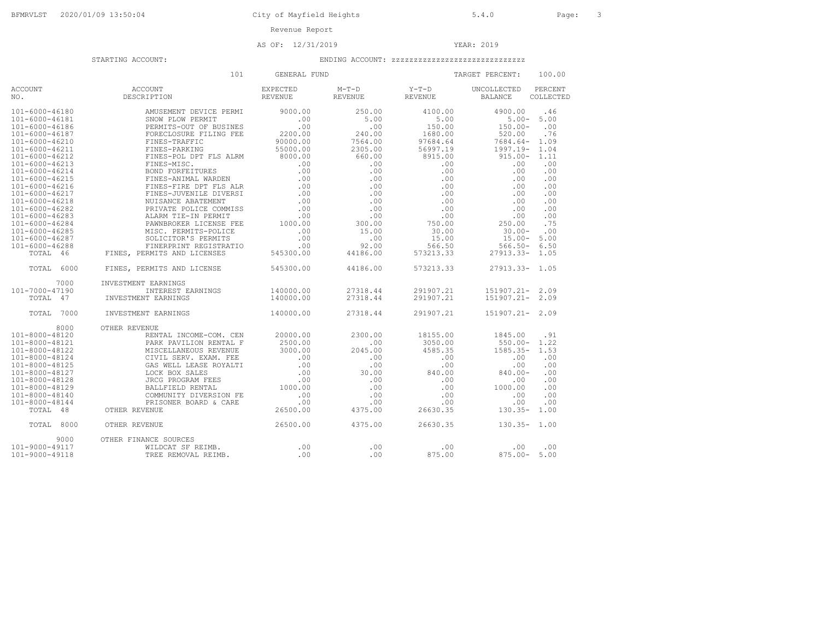# AS OF: 12/31/2019 YEAR: 2019

|                      | 101                         | GENERAL FUND |          |           | TARGET PERCENT:    | 100.00    |
|----------------------|-----------------------------|--------------|----------|-----------|--------------------|-----------|
| <b>ACCOUNT</b>       | ACCOUNT                     | EXPECTED     | $M-T-D$  | Y-T-D     | UNCOLLECTED        | PERCENT   |
| NO.                  | DESCRIPTION                 | REVENUE      | REVENUE  | REVENUE   | <b>BALANCE</b>     | COLLECTED |
| $101 - 6000 - 46180$ | AMUSEMENT DEVICE PERMI      | 9000.00      | 250.00   | 4100.00   | 4900.00            | .46       |
| 101-6000-46181       | SNOW PLOW PERMIT            | .00          | 5.00     | 5.00      | $5.00 -$           | 5.00      |
| 101-6000-46186       | PERMITS-OUT OF BUSINES      | .00          | .00      | 150.00    | $150.00 -$         | .00       |
| 101-6000-46187       | FORECLOSURE FILING FEE      | 2200.00      | 240.00   | 1680.00   | 520.00             | .76       |
| $101 - 6000 - 46210$ | FINES-TRAFFIC               | 90000.00     | 7564.00  | 97684.64  | 7684.64-           | 1.09      |
| 101-6000-46211       | FINES-PARKING               | 55000.00     | 2305.00  | 56997.19  | 1997.19-           | 1.04      |
| 101-6000-46212       | FINES-POL DPT FLS ALRM      | 8000.00      | 660.00   | 8915.00   | $915.00 -$         | 1.11      |
| 101-6000-46213       | FINES-MISC.                 | .00          | .00      | .00       | .00                | .00       |
| $101 - 6000 - 46214$ | <b>BOND FORFEITURES</b>     | .00          | .00.     | .00       | .00                | .00       |
| 101-6000-46215       | FINES-ANIMAL WARDEN         | .00          | .00      | .00       | .00                | .00       |
| 101-6000-46216       | FINES-FIRE DPT FLS ALR      | .00          | .00      | .00       | .00                | .00       |
| $101 - 6000 - 46217$ | FINES-JUVENILE DIVERSI      | .00          | .00      | .00       | .00                | .00       |
| 101-6000-46218       | NUISANCE ABATEMENT          | .00          | .00      | .00       | .00                | .00       |
| 101-6000-46282       | PRIVATE POLICE COMMISS      | .00          | .00      | .00       | .00                | .00       |
| 101-6000-46283       | ALARM TIE-IN PERMIT         | .00          | .00      | .00       | .00                | .00       |
| 101-6000-46284       | PAWNBROKER LICENSE FEE      | 1000.00      | 300.00   | 750.00    | 250.00             | .75       |
| 101-6000-46285       | MISC. PERMITS-POLICE        | .00          | 15.00    | 30.00     | $30.00 -$          | .00       |
| 101-6000-46287       | SOLICITOR'S PERMITS         | .00          | .00      | 15.00     | $15.00 -$          | 5.00      |
| 101-6000-46288       | FINERPRINT REGISTRATIO      | .00          | 92.00    | 566.50    | $566.50 -$         | 6.50      |
| TOTAL 46             | FINES, PERMITS AND LICENSES | 545300.00    | 44186.00 | 573213.33 | $27913.33 -$       | 1.05      |
| TOTAL<br>6000        | FINES, PERMITS AND LICENSE  | 545300.00    | 44186.00 | 573213.33 | $27913.33-$        | 1.05      |
| 7000                 | INVESTMENT EARNINGS         |              |          |           |                    |           |
| 101-7000-47190       | INTEREST EARNINGS           | 140000.00    | 27318.44 | 291907.21 | 151907.21-         | 2.09      |
| TOTAL 47             | INVESTMENT EARNINGS         | 140000.00    | 27318.44 | 291907.21 | $151907.21 - 2.09$ |           |
| 7000<br>TOTAL        | INVESTMENT EARNINGS         | 140000.00    | 27318.44 | 291907.21 | 151907.21- 2.09    |           |
| 8000                 | OTHER REVENUE               |              |          |           |                    |           |
| 101-8000-48120       | RENTAL INCOME-COM. CEN      | 20000.00     | 2300.00  | 18155.00  | 1845.00            | .91       |
| 101-8000-48121       | PARK PAVILION RENTAL F      | 2500.00      | .00      | 3050.00   | $550.00 -$         | 1.22      |
| 101-8000-48122       | MISCELLANEOUS REVENUE       | 3000.00      | 2045.00  | 4585.35   | $1585.35-$         | 1.53      |
| 101-8000-48124       | CIVIL SERV. EXAM. FEE       | .00          | .00      | .00       | .00                | .00       |
| 101-8000-48125       | GAS WELL LEASE ROYALTI      | .00          | .00      | .00       | .00                | .00       |
| 101-8000-48127       | LOCK BOX SALES              | .00          | 30.00    | 840.00    | $840.00 -$         | .00       |
| 101-8000-48128       | JRCG PROGRAM FEES           | .00          | .00      | .00       | .00                | .00       |
| 101-8000-48129       | BALLFIELD RENTAL            | 1000.00      | .00      | .00       | 1000.00            | .00       |
| 101-8000-48140       | COMMUNITY DIVERSION FE      | .00          | .00      | .00       | .00                | .00       |
| 101-8000-48144       | PRISONER BOARD & CARE       | .00          | .00      | .00       | .00                | .00       |
| TOTAL 48             | OTHER REVENUE               | 26500.00     | 4375.00  | 26630.35  | $130.35-$          | 1.00      |
| TOTAL<br>8000        | OTHER REVENUE               | 26500.00     | 4375.00  | 26630.35  | $130.35 -$         | 1.00      |
| 9000                 | OTHER FINANCE SOURCES       |              |          |           |                    |           |
| 101-9000-49117       | WILDCAT SF REIMB.           | .00          | .00      | .00       | .00                | .00       |
| 101-9000-49118       | TREE REMOVAL REIMB.         | .00          | .00      | 875.00    | $875.00 -$         | 5.00      |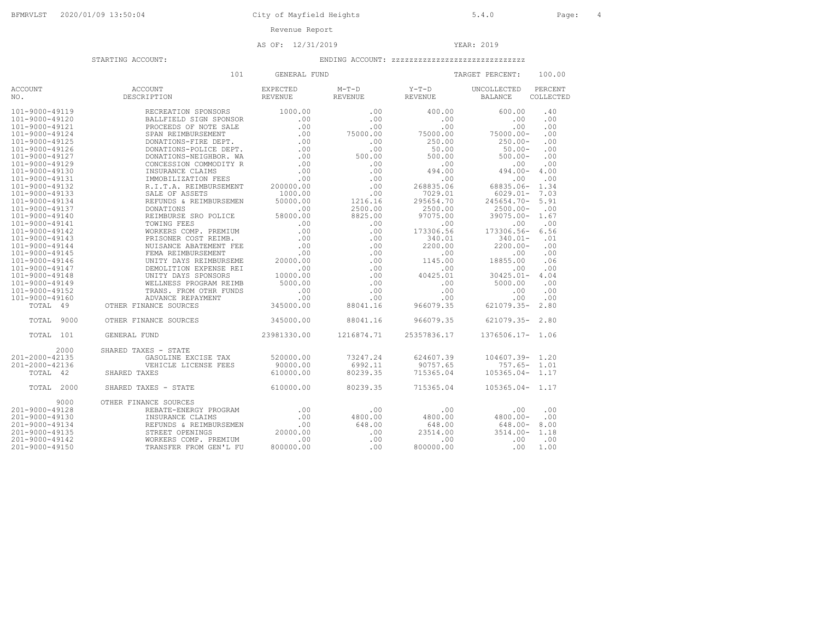AS OF: 12/31/2019 YEAR: 2019

|                       | 101                    | GENERAL FUND                      |                           |                  | TARGET PERCENT:               | 100.00               |
|-----------------------|------------------------|-----------------------------------|---------------------------|------------------|-------------------------------|----------------------|
| <b>ACCOUNT</b><br>NO. | ACCOUNT<br>DESCRIPTION | <b>EXPECTED</b><br><b>REVENUE</b> | $M-T-D$<br><b>REVENUE</b> | Y-T-D<br>REVENUE | UNCOLLECTED<br><b>BALANCE</b> | PERCENT<br>COLLECTED |
| 101-9000-49119        | RECREATION SPONSORS    | 1000.00                           | .00.                      | 400.00           | 600.00                        | .40                  |
| 101-9000-49120        | BALLFIELD SIGN SPONSOR | .00                               | .00                       | .00              | .00                           | .00                  |
| 101-9000-49121        | PROCEEDS OF NOTE SALE  | .00                               | .00                       | .00              | .00                           | .00                  |
| 101-9000-49124        | SPAN REIMBURSEMENT     | .00                               | 75000.00                  | 75000.00         | $75000.00 -$                  | .00                  |
| 101-9000-49125        | DONATIONS-FIRE DEPT.   | .00                               | .00                       | 250.00           | $250.00 -$                    | .00                  |
| 101-9000-49126        | DONATIONS-POLICE DEPT. | .00                               | .00                       | 50.00            | $50.00 -$                     | .00                  |
| 101-9000-49127        | DONATIONS-NEIGHBOR. WA | .00                               | 500.00                    | 500.00           | $500.00 -$                    | .00                  |
| 101-9000-49129        | CONCESSION COMMODITY R | .00                               | .00                       |                  |                               | .00                  |
|                       |                        |                                   |                           | .00              | .00                           |                      |
| 101-9000-49130        | INSURANCE CLAIMS       | .00                               | .00                       | 494.00           | $494.00 -$                    | 4.00                 |
| 101-9000-49131        | IMMOBILIZATION FEES    | .00                               | .00                       | .00              | .00                           | .00                  |
| 101-9000-49132        | R.I.T.A. REIMBURSEMENT | 200000.00                         | .00                       | 268835.06        | 68835.06-                     | 1.34                 |
| 101-9000-49133        | SALE OF ASSETS         | 1000.00                           | .00                       | 7029.01          | $6029.01 -$                   | 7.03                 |
| 101-9000-49134        | REFUNDS & REIMBURSEMEN | 50000.00                          | 1216.16                   | 295654.70        | 245654.70-                    | 5.91                 |
| 101-9000-49137        | DONATIONS              | .00                               | 2500.00                   | 2500.00          | $2500.00 -$                   | .00                  |
| 101-9000-49140        | REIMBURSE SRO POLICE   | 58000.00                          | 8825.00                   | 97075.00         | $39075.00 -$                  | 1.67                 |
| 101-9000-49141        | TOWING FEES            | .00                               | .00                       | .00              | .00                           | .00                  |
| 101-9000-49142        | WORKERS COMP. PREMIUM  | .00                               | .00                       | 173306.56        | 173306.56-                    | 6.56                 |
| 101-9000-49143        | PRISONER COST REIMB.   | .00                               | .00                       | 340.01           | $340.01 -$                    | .01                  |
| 101-9000-49144        | NUISANCE ABATEMENT FEE | .00                               | .00                       | 2200.00          | $2200.00 -$                   | .00                  |
| 101-9000-49145        | FEMA REIMBURSEMENT     | .00                               | .00                       | .00              | .00                           | .00                  |
| 101-9000-49146        | UNITY DAYS REIMBURSEME | 20000.00                          | .00                       | 1145.00          | 18855.00                      | .06                  |
| 101-9000-49147        | DEMOLITION EXPENSE REI | .00                               | .00                       | .00              | .00                           | .00                  |
| 101-9000-49148        | UNITY DAYS SPONSORS    | 10000.00                          | .00                       | 40425.01         | $30425.01 -$                  | 4.04                 |
|                       |                        |                                   |                           |                  |                               |                      |
| 101-9000-49149        | WELLNESS PROGRAM REIMB | 5000.00                           | .00                       | .00              | 5000.00                       | .00                  |
| 101-9000-49152        | TRANS. FROM OTHR FUNDS | .00                               | .00                       | .00              | .00                           | .00                  |
| 101-9000-49160        | ADVANCE REPAYMENT      | .00                               | .00                       | .00              | .00                           | .00                  |
| TOTAL 49              | OTHER FINANCE SOURCES  | 345000.00                         | 88041.16                  | 966079.35        | $621079.35 -$                 | 2.80                 |
| TOTAL<br>9000         | OTHER FINANCE SOURCES  | 345000.00                         | 88041.16                  | 966079.35        | 621079.35-                    | 2.80                 |
| TOTAL.<br>101         | GENERAL FUND           | 23981330.00                       | 1216874.71                | 25357836.17      | 1376506.17- 1.06              |                      |
| 2000                  | SHARED TAXES - STATE   |                                   |                           |                  |                               |                      |
| 201-2000-42135        | GASOLINE EXCISE TAX    | 520000.00                         | 73247.24                  | 624607.39        | $104607.39 - 1.20$            |                      |
| 201-2000-42136        | VEHICLE LICENSE FEES   | 90000.00                          | 6992.11                   | 90757.65         | $757.65 -$                    | 1.01                 |
| TOTAL 42              | SHARED TAXES           | 610000.00                         | 80239.35                  | 715365.04        | $105365.04 - 1.17$            |                      |
| 2000<br>TOTAL         | SHARED TAXES - STATE   | 610000.00                         | 80239.35                  | 715365.04        | $105365.04-$                  | 1.17                 |
| 9000                  | OTHER FINANCE SOURCES  |                                   |                           |                  |                               |                      |
| 201-9000-49128        | REBATE-ENERGY PROGRAM  | .00                               | .00                       | .00              | .00                           | .00                  |
| 201-9000-49130        | INSURANCE CLAIMS       | .00                               | 4800.00                   | 4800.00          | $4800.00 -$                   | .00                  |
| 201-9000-49134        | REFUNDS & REIMBURSEMEN | .00                               | 648.00                    | 648.00           | $648.00 -$                    | 8.00                 |
| 201-9000-49135        | STREET OPENINGS        | 20000.00                          | .00                       | 23514.00         | $3514.00 -$                   | 1.18                 |
| 201-9000-49142        | WORKERS COMP. PREMIUM  | .00                               | .00                       | .00              | .00                           | .00                  |
| 201-9000-49150        | TRANSFER FROM GEN'L FU | 800000.00                         | .00                       | 800000.00        | .00                           | 1.00                 |
|                       |                        |                                   |                           |                  |                               |                      |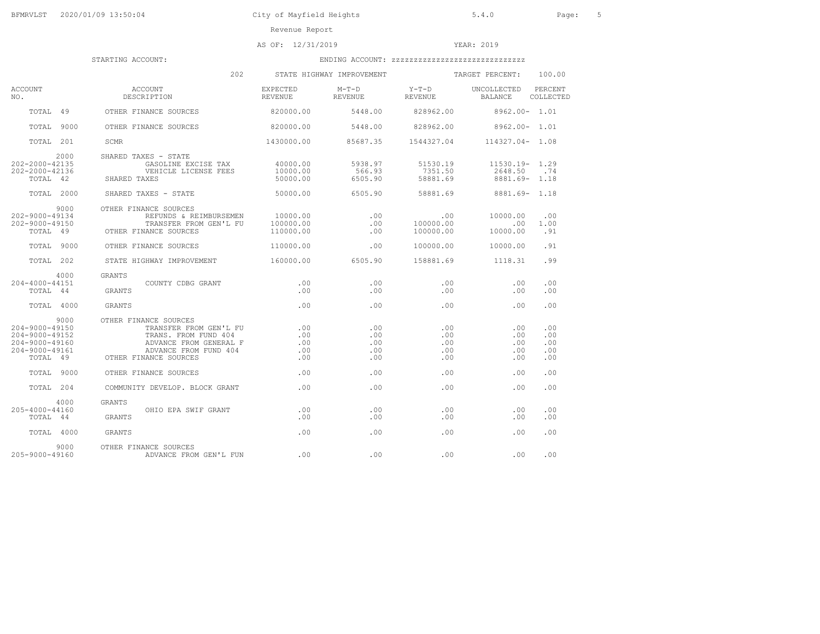AS OF: 12/31/2019 YEAR: 2019

|                                                                                                | 202                                                                                                                                                 |                                 | STATE HIGHWAY IMPROVEMENT TARGET PERCENT:         |                                 |                                                   | 100.00                          |
|------------------------------------------------------------------------------------------------|-----------------------------------------------------------------------------------------------------------------------------------------------------|---------------------------------|---------------------------------------------------|---------------------------------|---------------------------------------------------|---------------------------------|
| ACCOUNT<br>NO.                                                                                 | ACCOUNT<br>DESCRIPTION                                                                                                                              | EXPECTED<br><b>REVENUE</b>      | $M-T-D$<br>REVENUE REVENUE                        | $Y-T-D$                         | UNCOLLECTED<br>BALANCE                            | PERCENT<br>COLLECTED            |
|                                                                                                | TOTAL 49 OTHER FINANCE SOURCES                                                                                                                      | 820000.00                       |                                                   | 5448.00 828962.00               | 8962.00- 1.01                                     |                                 |
| TOTAL 9000                                                                                     | OTHER FINANCE SOURCES                                                                                                                               | 820000.00                       |                                                   | 5448.00 828962.00 8962.00 1.01  |                                                   |                                 |
| TOTAL 201                                                                                      | SCMR                                                                                                                                                |                                 | 1430000.00  85687.35  1544327.04  114327.04  1.08 |                                 |                                                   |                                 |
| 2000<br>202-2000-42135<br>202-2000-42136<br>TOTAL 42                                           | SHARED TAXES - STATE<br>GASOLINE EXCISE TAX 40000.00<br>VEHI<br>SHARED TAXES<br>VEHICLE LICENSE FEES                                                | 10000.00<br>50000.00            | 5938.97<br>566.93<br>6505.90                      | 51530.19<br>7351.50<br>58881.69 | $11530.19 - 1.29$<br>2648.50 .74<br>8881.69- 1.18 |                                 |
| TOTAL 2000                                                                                     | SHARED TAXES - STATE                                                                                                                                |                                 | $50000.00$ 6505.90                                |                                 | 58881.69 8881.69- 1.18                            |                                 |
| 9000<br>202-9000-49134<br>202-9000-49150<br>TOTAL 49                                           | OTHER FINANCE SOURCES<br>REFUNDS & REIMBURSEMEN 10000.00<br>TRANSFER FROM GEN'L FU 100000.00<br>OTHER FINANCE SOURCES                               | 110000.00                       | .00<br>.00<br>.00                                 | 100000.00                       | 10000.00<br>.00<br>10000.00                       | .00<br>1.00<br>.91              |
| TOTAL 9000                                                                                     | OTHER FINANCE SOURCES                                                                                                                               | 110000.00                       | .00                                               | 100000.00                       | 10000.00                                          | .91                             |
| TOTAL 202                                                                                      | STATE HIGHWAY IMPROVEMENT 6505.90                                                                                                                   |                                 |                                                   |                                 | 158881.69 1118.31                                 | .99                             |
| 4000<br>204-4000-44151<br>TOTAL 44                                                             | GRANTS<br>GRANTS<br>COUNTY CDBG GRANT                                                                                                               | .00<br>.00                      | .00<br>.00                                        | .00<br>.00                      | .00<br>.00                                        | .00<br>.00                      |
| TOTAL 4000                                                                                     | GRANTS                                                                                                                                              | .00                             | .00                                               | .00                             | .00                                               | .00                             |
| 9000<br>204-9000-49150<br>$204 - 9000 - 49152$<br>204-9000-49160<br>204-9000-49161<br>TOTAL 49 | OTHER FINANCE SOURCES<br>TRANSFER FROM GEN'L FU<br>TRANS. FROM FUND 404<br>ADVANCE FROM GENERAL F<br>ADVANCE FROM FUND 404<br>OTHER FINANCE SOURCES | .00<br>.00<br>.00<br>.00<br>.00 | .00<br>.00<br>.00<br>.00<br>.00                   | .00<br>.00<br>.00<br>.00<br>.00 | .00<br>.00<br>.00<br>.00<br>.00                   | .00<br>.00<br>.00<br>.00<br>.00 |
| TOTAL 9000                                                                                     | OTHER FINANCE SOURCES                                                                                                                               | .00                             | .00                                               | .00                             | .00                                               | .00                             |
| TOTAL 204                                                                                      | COMMUNITY DEVELOP. BLOCK GRANT                                                                                                                      | $\sim$ 00                       | .00                                               | .00                             | .00                                               | .00                             |
| 4000<br>205-4000-44160<br>TOTAL 44                                                             | GRANTS<br><b>GRANTS</b><br>OHIO EPA SWIF GRANT                                                                                                      | .00<br>.00                      | .00<br>.00                                        | .00<br>.00                      | .00<br>.00                                        | .00<br>.00                      |
| TOTAL 4000                                                                                     | GRANTS                                                                                                                                              | .00                             | .00                                               | .00                             | .00                                               | .00                             |
| 9000<br>205-9000-49160                                                                         | OTHER FINANCE SOURCES<br>ADVANCE FROM GEN'L FUN .00                                                                                                 |                                 | .00                                               | .00                             | .00                                               | .00                             |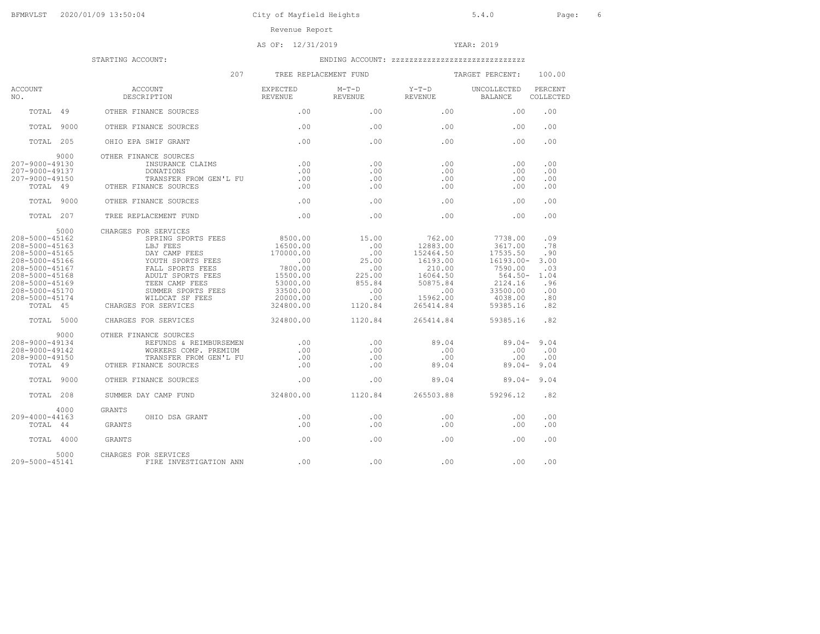AS OF: 12/31/2019 YEAR: 2019

|                                                                                                                                                                                    | 207                                                                                                                                                                                                                      | TREE REPLACEMENT FUND                                                                                                 |                                                                                  |                                                                                                               | TARGET PERCENT:                                                                                                       | 100.00                                                               |
|------------------------------------------------------------------------------------------------------------------------------------------------------------------------------------|--------------------------------------------------------------------------------------------------------------------------------------------------------------------------------------------------------------------------|-----------------------------------------------------------------------------------------------------------------------|----------------------------------------------------------------------------------|---------------------------------------------------------------------------------------------------------------|-----------------------------------------------------------------------------------------------------------------------|----------------------------------------------------------------------|
| <b>ACCOUNT</b><br>NO.                                                                                                                                                              | ACCOUNT<br>DESCRIPTION                                                                                                                                                                                                   | EXPECTED<br>REVENUE                                                                                                   | $M-T-D$<br>REVENUE                                                               | $Y-T-D$<br>REVENUE                                                                                            | UNCOLLECTED<br>BALANCE                                                                                                | PERCENT<br>COLLECTED                                                 |
| TOTAL 49                                                                                                                                                                           | OTHER FINANCE SOURCES                                                                                                                                                                                                    | .00                                                                                                                   | .00                                                                              | .00                                                                                                           | .00                                                                                                                   | .00                                                                  |
| TOTAL<br>9000                                                                                                                                                                      | OTHER FINANCE SOURCES                                                                                                                                                                                                    | .00                                                                                                                   | .00                                                                              | .00                                                                                                           | .00                                                                                                                   | .00                                                                  |
| TOTAL 205                                                                                                                                                                          | OHIO EPA SWIF GRANT                                                                                                                                                                                                      | .00                                                                                                                   | .00                                                                              | .00                                                                                                           | .00                                                                                                                   | .00                                                                  |
| 9000<br>207-9000-49130<br>207-9000-49137<br>207-9000-49150<br>TOTAL 49                                                                                                             | OTHER FINANCE SOURCES<br>INSURANCE CLAIMS<br>DONATIONS<br>TRANSFER FROM GEN'L FU<br>OTHER FINANCE SOURCES                                                                                                                | .00<br>.00<br>.00<br>.00                                                                                              | .00<br>.00<br>.00<br>.00                                                         | .00<br>.00<br>.00<br>.00                                                                                      | .00<br>.00<br>.00<br>.00                                                                                              | .00<br>.00<br>.00<br>.00                                             |
| TOTAL 9000                                                                                                                                                                         | OTHER FINANCE SOURCES                                                                                                                                                                                                    | .00                                                                                                                   | .00                                                                              | .00                                                                                                           | .00                                                                                                                   | .00                                                                  |
| TOTAL 207                                                                                                                                                                          | TREE REPLACEMENT FUND                                                                                                                                                                                                    | .00                                                                                                                   | .00                                                                              | .00                                                                                                           | .00                                                                                                                   | .00                                                                  |
| 5000<br>208-5000-45162<br>208-5000-45163<br>208-5000-45165<br>208-5000-45166<br>208-5000-45167<br>208-5000-45168<br>208-5000-45169<br>208-5000-45170<br>208-5000-45174<br>TOTAL 45 | CHARGES FOR SERVICES<br>SPRING SPORTS FEES<br>LBJ FEES<br>DAY CAMP FEES<br>YOUTH SPORTS FEES<br>FALL SPORTS FEES<br>ADULT SPORTS FEES<br>TEEN CAMP FEES<br>SUMMER SPORTS FEES<br>WILDCAT SF FEES<br>CHARGES FOR SERVICES | 8500.00<br>16500.00<br>170000.00<br>$\sim$ 00<br>7800.00<br>15500.00<br>53000.00<br>33500.00<br>20000.00<br>324800.00 | 15.00<br>.00<br>.00<br>25.00<br>.00<br>225.00<br>855.84<br>.00<br>.00<br>1120.84 | 762.00<br>12883.00<br>152464.50<br>16193.00<br>210.00<br>16064.50<br>50875.84<br>.00<br>15962.00<br>265414.84 | 7738.00<br>3617.00<br>17535.50<br>$16193.00 -$<br>7590.00<br>$564.50 -$<br>2124.16<br>33500.00<br>4038.00<br>59385.16 | .09<br>.78<br>.90<br>3.00<br>.03<br>1.04<br>.96<br>.00<br>.80<br>.82 |
| TOTAL 5000                                                                                                                                                                         | CHARGES FOR SERVICES                                                                                                                                                                                                     | 324800.00                                                                                                             | 1120.84                                                                          | 265414.84                                                                                                     | 59385.16                                                                                                              | .82                                                                  |
| 9000<br>208-9000-49134<br>208-9000-49142<br>$208 - 9000 - 49150$<br>TOTAL 49                                                                                                       | OTHER FINANCE SOURCES<br>REFUNDS & REIMBURSEMEN<br>WORKERS COMP. PREMIUM<br>TRANSFER FROM GEN'L FU<br>OTHER FINANCE SOURCES                                                                                              | .00<br>.00<br>.00<br>.00                                                                                              | .00<br>.00<br>.00<br>.00                                                         | 89.04<br>.00<br>.00<br>89.04                                                                                  | $89.04 -$<br>.00<br>.00<br>$89.04 -$                                                                                  | 9.04<br>.00<br>.00<br>9.04                                           |
| TOTAL 9000                                                                                                                                                                         | OTHER FINANCE SOURCES                                                                                                                                                                                                    | .00                                                                                                                   | .00                                                                              | 89.04                                                                                                         | 89.04-                                                                                                                | 9.04                                                                 |
| TOTAL 208                                                                                                                                                                          | SUMMER DAY CAMP FUND                                                                                                                                                                                                     | 324800.00                                                                                                             | 1120.84                                                                          | 265503.88                                                                                                     | 59296.12                                                                                                              | .82                                                                  |
| 4000<br>209-4000-44163<br>TOTAL 44<br>TOTAL 4000                                                                                                                                   | <b>GRANTS</b><br>OHIO DSA GRANT<br>GRANTS<br>GRANTS                                                                                                                                                                      | .00<br>.00<br>.00                                                                                                     | .00<br>.00<br>$.00 \,$                                                           | .00<br>.00<br>$.00 \,$                                                                                        | .00<br>.00<br>.00                                                                                                     | .00<br>.00<br>.00                                                    |
| 5000                                                                                                                                                                               |                                                                                                                                                                                                                          |                                                                                                                       |                                                                                  |                                                                                                               |                                                                                                                       |                                                                      |
| 209-5000-45141                                                                                                                                                                     | CHARGES FOR SERVICES<br>FIRE INVESTIGATION ANN                                                                                                                                                                           | .00                                                                                                                   | .00                                                                              | .00                                                                                                           | .00                                                                                                                   | .00                                                                  |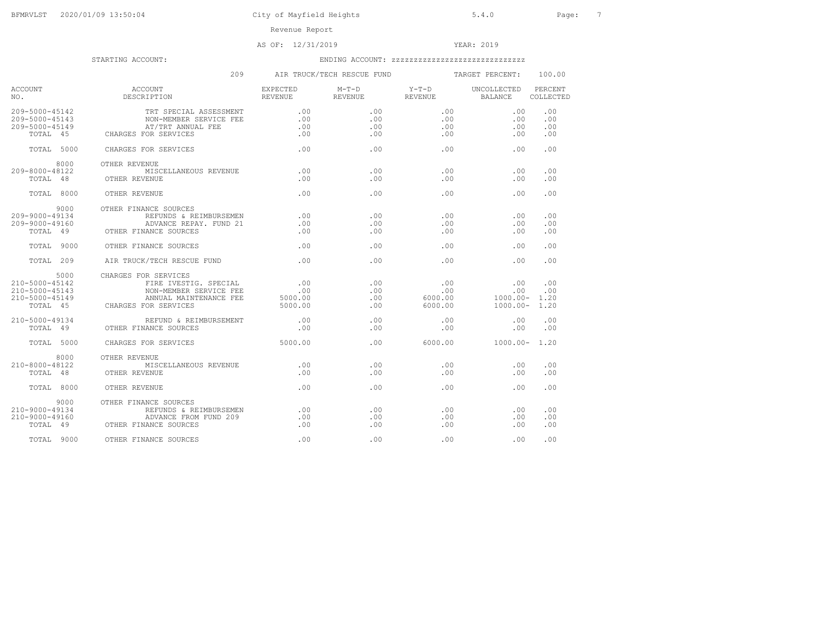# AS OF: 12/31/2019 YEAR: 2019

|                                                                              | 209                                                                                                                       |                                      | AIR TRUCK/TECH RESCUE FUND | TARGET PERCENT:                  |                                                    | 100.00                   |
|------------------------------------------------------------------------------|---------------------------------------------------------------------------------------------------------------------------|--------------------------------------|----------------------------|----------------------------------|----------------------------------------------------|--------------------------|
| ACCOUNT<br>NO.                                                               | ACCOUNT<br>DESCRIPTION                                                                                                    | EXPECTED<br>REVENUE                  | $M-T-D$<br><b>REVENUE</b>  | $Y-T-D$<br>REVENUE BALANCE       | UNCOLLECTED                                        | PERCENT<br>COLLECTED     |
| 209-5000-45142<br>209-5000-45143<br>209-5000-45149<br>TOTAL 45               | TRT SPECIAL ASSESSMENT<br>NON-MEMBER SERVICE FEE<br>AT/TRT ANNUAL FEE<br>CHARGES FOR SERVICES                             | .00<br>$\overline{00}$<br>.00<br>.00 | .00<br>.00<br>.00<br>.00   | .00<br>.00<br>.00<br>.00         | $.00 \,$<br>.00<br>.00<br>.00                      | .00<br>.00<br>.00<br>.00 |
| TOTAL 5000                                                                   | CHARGES FOR SERVICES                                                                                                      | .00                                  | .00                        | .00                              | .00                                                | .00                      |
| 8000<br>209-8000-48122<br>TOTAL 48                                           | OTHER REVENUE<br>MISCELLANEOUS REVENUE<br>OTHER REVENUE                                                                   | .00<br>.00                           | .00<br>.00                 | .00<br>.00                       | .00<br>.00                                         | .00<br>.00               |
| TOTAL 8000                                                                   | OTHER REVENUE                                                                                                             | .00                                  | .00                        | .00                              | .00                                                | .00                      |
| 9000<br>$209 - 9000 - 49134$<br>209-9000-49160<br>TOTAL 49                   | OTHER FINANCE SOURCES<br>REFUNDS & REIMBURSEMEN<br>ADVANCE REPAY. FUND 21<br>OTHER FINANCE SOURCES                        | .00<br>.00<br>.00                    | .00<br>.00<br>.00          | .00<br>.00<br>.00                | .00<br>.00<br>.00                                  | .00<br>.00<br>.00        |
| TOTAL 9000                                                                   | OTHER FINANCE SOURCES                                                                                                     | .00                                  | .00                        | .00                              | .00.                                               | .00                      |
| TOTAL 209                                                                    | AIR TRUCK/TECH RESCUE FUND                                                                                                | .00                                  | .00                        | .00                              | .00                                                | .00                      |
| 5000<br>210-5000-45142<br>210-5000-45143<br>$210 - 5000 - 45149$<br>TOTAL 45 | CHARGES FOR SERVICES<br>FIRE IVESTIG. SPECIAL<br>NON-MEMBER SERVICE FEE<br>ANNUAL MAINTENANCE FEE<br>CHARGES FOR SERVICES | .00<br>.00<br>5000.00<br>5000.00     | .00<br>.00.<br>.00.<br>.00 | .00<br>.00<br>6000.00<br>6000.00 | .00<br>.00<br>$1000.00 - 1.20$<br>$1000.00 - 1.20$ | .00<br>.00               |
| $210 - 5000 - 49134$<br>TOTAL 49                                             | REFUND & REIMBURSEMENT<br>OTHER FINANCE SOURCES                                                                           | $\sim$ 00<br>.00                     | .00.<br>.00                | .00.<br>.00                      | .00<br>.00                                         | .00<br>.00               |
| TOTAL 5000                                                                   | CHARGES FOR SERVICES                                                                                                      | 5000.00                              | .00                        | 6000.00                          | $1000.00 - 1.20$                                   |                          |
| 8000<br>$210 - 8000 - 48122$<br>TOTAL 48                                     | OTHER REVENUE<br>MISCELLANEOUS REVENUE<br>OTHER REVENUE                                                                   | .00<br>.00                           | .00.<br>.00                | .00<br>.00                       | .00<br>.00                                         | .00<br>.00               |
| TOTAL 8000                                                                   | OTHER REVENUE                                                                                                             | .00                                  | .00                        | .00                              | .00                                                | .00                      |
| 9000<br>210-9000-49134<br>210-9000-49160<br>TOTAL 49                         | OTHER FINANCE SOURCES<br>REFUNDS & REIMBURSEMEN<br>ADVANCE FROM FUND 209<br>OTHER FINANCE SOURCES                         | $\overline{00}$<br>.00<br>.00        | .00<br>.00<br>.00          | .00<br>.00<br>.00                | .00<br>.00<br>.00                                  | .00<br>.00<br>.00        |
| TOTAL 9000                                                                   | OTHER FINANCE SOURCES                                                                                                     | .00                                  | .00                        | .00                              | .00                                                | .00                      |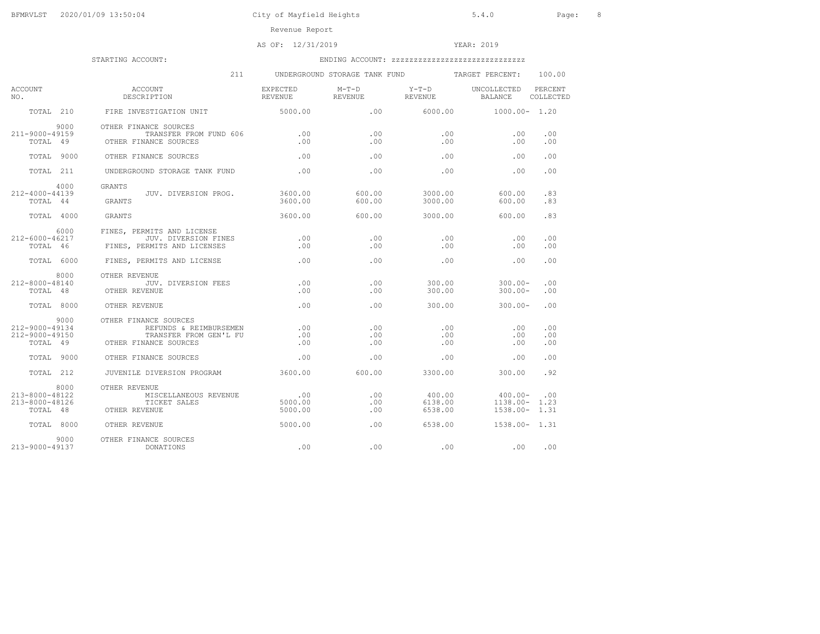# AS OF: 12/31/2019 YEAR: 2019

|                                                            | 211                                                                                                |                                 | UNDERGROUND STORAGE TANK FUND |                              | TARGET PERCENT:                         | 100.00               |
|------------------------------------------------------------|----------------------------------------------------------------------------------------------------|---------------------------------|-------------------------------|------------------------------|-----------------------------------------|----------------------|
| ACCOUNT<br>NO.                                             | ACCOUNT<br>DESCRIPTION                                                                             | EXPECTED<br>REVENUE             | $M-T-D$<br>REVENUE            | $Y-T-D$<br>REVENUE           | UNCOLLECTED<br>BALANCE                  | PERCENT<br>COLLECTED |
| TOTAL 210                                                  | FIRE INVESTIGATION UNIT                                                                            | 5000.00                         | .00                           | 6000.00                      | $1000.00 - 1.20$                        |                      |
| 9000<br>211-9000-49159<br>TOTAL 49                         | OTHER FINANCE SOURCES<br>TRANSFER FROM FUND 606<br>OTHER FINANCE SOURCES                           | .00<br>.00                      | .00.<br>.00                   | .00<br>.00                   | .00<br>.00                              | .00<br>.00           |
| TOTAL 9000                                                 | OTHER FINANCE SOURCES                                                                              | .00                             | .00                           | .00                          | .00                                     | .00                  |
| TOTAL 211                                                  | UNDERGROUND STORAGE TANK FUND                                                                      | .00                             | .00                           | .00                          | .00                                     | .00                  |
| 4000<br>212-4000-44139<br>TOTAL 44                         | GRANTS<br>JUV. DIVERSION PROG.<br><b>GRANTS</b>                                                    | 3600.00<br>3600.00              | 600.00<br>600.00              | 3000.00<br>3000.00           | 600.00<br>600.00                        | .83<br>.83           |
| TOTAL 4000                                                 | GRANTS                                                                                             | 3600.00                         | 600.00                        | 3000.00                      | 600.00                                  | .83                  |
| 6000<br>212-6000-46217<br>TOTAL 46                         | FINES. PERMITS AND LICENSE<br>JUV. DIVERSION FINES<br>FINES, PERMITS AND LICENSES                  | $\overline{00}$<br>.00          | .00<br>.00                    | .00<br>.00                   | .00<br>.00                              | .00<br>.00           |
| TOTAL 6000                                                 | FINES, PERMITS AND LICENSE                                                                         | .00                             | .00.                          | .00                          | .00                                     | .00                  |
| 8000<br>212-8000-48140<br>TOTAL 48                         | OTHER REVENUE<br>JUV. DIVERSION FEES<br>OTHER REVENUE                                              | .00<br>.00                      | .00<br>.00.                   | 300.00<br>300.00             | $300.00 -$<br>$300.00 -$                | .00<br>.00           |
| TOTAL 8000                                                 | OTHER REVENUE                                                                                      | .00                             | .00.                          | 300.00                       | $300.00 -$                              | .00                  |
| 9000<br>$212 - 9000 - 49134$<br>212-9000-49150<br>TOTAL 49 | OTHER FINANCE SOURCES<br>REFUNDS & REIMBURSEMEN<br>TRANSFER FROM GEN'L FU<br>OTHER FINANCE SOURCES | .00<br>.00<br>.00               | .00<br>.00<br>.00             | .00<br>.00<br>.00            | .00<br>.00<br>.00                       | .00<br>.00<br>.00    |
| TOTAL 9000                                                 | OTHER FINANCE SOURCES                                                                              | .00                             | .00                           | $.00 \,$                     | .00                                     | .00                  |
| TOTAL 212                                                  | JUVENILE DIVERSION PROGRAM                                                                         | 3600.00                         | 600.00                        | 3300.00                      | 300.00                                  | .92                  |
| 8000<br>$213 - 8000 - 48122$<br>213-8000-48126<br>TOTAL 48 | OTHER REVENUE<br>MISCELLANEOUS REVENUE<br>TICKET SALES<br>OTHER REVENUE                            | $\sim$ 00<br>5000.00<br>5000.00 | .00<br>.00<br>.00             | 400.00<br>6138.00<br>6538.00 | 400.00-<br>1138.00-<br>$1538.00 - 1.31$ | .00<br>1.23          |
| TOTAL 8000                                                 | OTHER REVENUE                                                                                      | 5000.00                         | .00.                          | 6538.00                      | $1538.00 - 1.31$                        |                      |
| 9000<br>$213 - 9000 - 49137$                               | OTHER FINANCE SOURCES<br>DONATIONS                                                                 | .00                             | .00                           | .00                          | .00                                     | .00                  |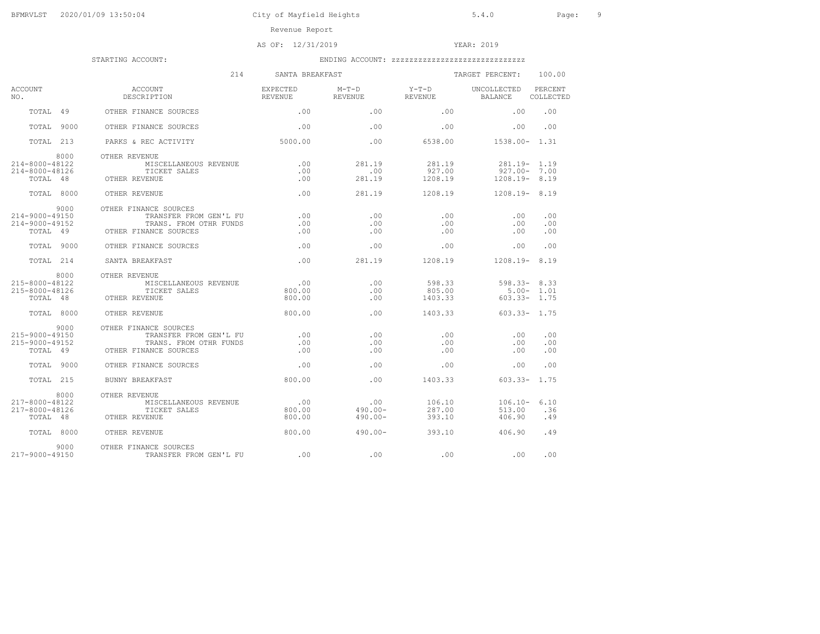AS OF: 12/31/2019 YEAR: 2019

|                                                            | 214                                                                                                | SANTA BREAKFAST                     |                                 |                             | TARGET PERCENT:                                     | 100.00             |
|------------------------------------------------------------|----------------------------------------------------------------------------------------------------|-------------------------------------|---------------------------------|-----------------------------|-----------------------------------------------------|--------------------|
| <b>ACCOUNT</b><br>NO.                                      | ACCOUNT                                                                                            | EXPECTED                            | $M-T-D$ $Y-T-D$                 |                             | UNCOLLECTED PERCENT<br>BALANCE                      | COLLECTED          |
|                                                            | TOTAL 49 OTHER FINANCE SOURCES                                                                     | $\sim$ 00                           | .00                             | .00                         | .00                                                 | .00                |
| TOTAL 9000                                                 | OTHER FINANCE SOURCES                                                                              | .00                                 | .00                             | .00                         | .00                                                 | .00                |
| TOTAL 213                                                  | PARKS & REC ACTIVITY                                                                               | 5000.00                             | .00                             | 6538.00                     | 1538.00- 1.31                                       |                    |
| 8000<br>214-8000-48122<br>214-8000-48126<br>TOTAL 48       | OTHER REVENUE<br>MISCELLANEOUS REVENUE<br>TICKET SALES<br>OTHER REVENUE                            | .00<br>.00<br>.00                   | 281.19<br>.00<br>281.19         | 281.19<br>927.00<br>1208.19 | 281.19- 1.19<br>$927.00 - 7.00$<br>$1208.19 - 8.19$ |                    |
| TOTAL 8000                                                 | OTHER REVENUE                                                                                      | .00                                 |                                 | 281.19 1208.19              | $1208.19 - 8.19$                                    |                    |
| 9000<br>214-9000-49150<br>214-9000-49152<br>TOTAL 49       | OTHER FINANCE SOURCES<br>TRANSFER FROM GEN'L FU<br>TRANS. FROM OTHR FUNDS<br>OTHER FINANCE SOURCES | .00<br>.00<br>.00                   | .00<br>.00<br>.00               | .00<br>.00<br>.00           | .00<br>.00<br>.00                                   | .00<br>.00<br>.00  |
| TOTAL 9000                                                 | OTHER FINANCE SOURCES                                                                              | .00                                 | .00                             | .00                         | .00                                                 | .00                |
| TOTAL 214                                                  | SANTA BREAKFAST                                                                                    | .00                                 | 281.19 1208.19                  |                             | $1208.19 - 8.19$                                    |                    |
| 8000<br>215-8000-48122<br>$215 - 8000 - 48126$<br>TOTAL 48 | OTHER REVENUE<br>MISCELLANEOUS REVENUE<br>TICKI<br>OTHER REVENUE<br>TICKET SALES                   | $\overline{00}$<br>800.00<br>800.00 | .00<br>.00<br>.00               | 598.33<br>805.00<br>1403.33 | $598.33 - 8.33$<br>$603.33 - 1.75$                  | $5.00 - 1.01$      |
| TOTAL 8000                                                 | OTHER REVENUE                                                                                      | 800.00                              | .00                             | 1403.33 603.33 - 1.75       |                                                     |                    |
| 9000<br>215-9000-49150<br>215-9000-49152<br>TOTAL 49       | OTHER FINANCE SOURCES<br>TRANSFER FROM GEN'L FU<br>TRANS. FROM OTHR FUNDS<br>OTHER FINANCE SOURCES | .00<br>.00<br>.00                   | .00<br>.00<br>.00               | .00<br>.00<br>.00           | .00<br>.00<br>.00                                   | .00<br>.00<br>.00  |
| TOTAL 9000                                                 | OTHER FINANCE SOURCES                                                                              | .00                                 | .00                             | .00                         | .00                                                 | .00                |
| TOTAL 215                                                  | BUNNY BREAKFAST                                                                                    | 800.00                              | .00                             | 1403.33                     | $603.33 - 1.75$                                     |                    |
| 8000<br>217-8000-48122<br>$217 - 8000 - 48126$<br>TOTAL 48 | OTHER REVENUE<br>MISCELLANEOUS REVENUE<br>TICKET SALES<br>OTHER REVENUE                            | .00<br>800.00<br>800.00             | .00<br>$490.00 -$<br>$490.00 -$ | 106.10<br>287.00<br>393.10  | $106.10 -$<br>513.00<br>406.90                      | 6.10<br>.36<br>.49 |
| TOTAL 8000                                                 | OTHER REVENUE                                                                                      | 800.00                              | $490.00 -$                      | 393.10                      | 406.90                                              | .49                |
| 9000<br>217-9000-49150                                     | OTHER FINANCE SOURCES<br>TRANSFER FROM GEN'L FU                                                    | $\sim$ 00                           | .00                             | .00                         | $\sim$ 00                                           | .00                |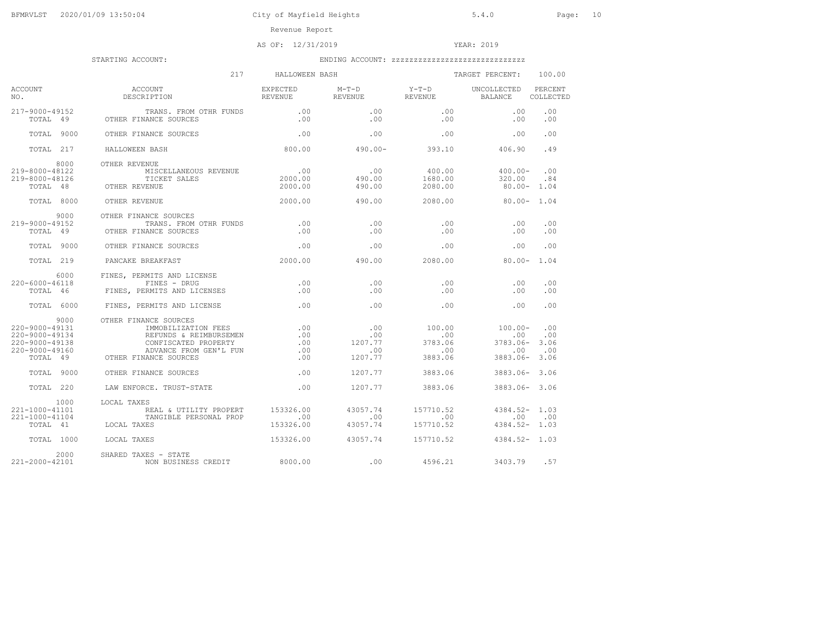# AS OF: 12/31/2019 YEAR: 2019

|                                                                                                | 217                                                                                                                                                               | HALLOWEEN BASH                  |                                         |                                                  | TARGET PERCENT:                                          | 100.00                    |
|------------------------------------------------------------------------------------------------|-------------------------------------------------------------------------------------------------------------------------------------------------------------------|---------------------------------|-----------------------------------------|--------------------------------------------------|----------------------------------------------------------|---------------------------|
| ACCOUNT<br>NO.                                                                                 | ACCOUNT<br>DESCRIPTION                                                                                                                                            | EXPECTED<br>REVENUE             | $M-T-D$ $Y-T-D$<br><b>REVENUE</b>       | <b>REVENUE</b>                                   | UNCOLLECTED<br><b>BALANCE</b>                            | PERCENT<br>COLLECTED      |
| 217-9000-49152                                                                                 | TRANS. FROM OTHR FUNDS .00<br>-9000-49152 TRANS. FROM C<br>TOTAL 49 OTHER FINANCE SOURCES                                                                         | .00                             | .00<br>.00                              | .00<br>.00                                       | .00<br>.00                                               | .00<br>.00                |
| TOTAL 9000                                                                                     | OTHER FINANCE SOURCES                                                                                                                                             | .00                             | .00                                     | .00                                              | .00                                                      | .00                       |
| TOTAL 217                                                                                      | HALLOWEEN BASH                                                                                                                                                    | 800.00                          | $490.00 - 393.10$ $406.90$              |                                                  |                                                          | .49                       |
| 8000<br>219-8000-48122<br>219-8000-48126<br>TOTAL 48                                           | OTHER REVENUE<br>MISCELLANEOUS REVENUE<br>TICKE<br>OTHER REVENUE<br>TICKET SALES                                                                                  | .00<br>2000.00<br>2000.00       | .00<br>490.00<br>490.00                 | 400.00<br>1680.00<br>2080.00                     | $400.00 -$<br>320.00<br>$80.00 - 1.04$                   | .00<br>.84                |
| TOTAL 8000                                                                                     | OTHER REVENUE                                                                                                                                                     | 2000.00                         | 490.00                                  |                                                  | 2080.00 80.00 - 1.04                                     |                           |
| 9000<br>219-9000-49152<br>TOTAL 49                                                             | OTHER FINANCE SOURCES<br>TRANS. FROM OTHR FUNDS<br>OTHER FINANCE SOURCES                                                                                          | $\sim$ 00<br>.00                | .00<br>.00                              | .00<br>.00                                       | .00<br>.00                                               | .00<br>.00                |
| TOTAL 9000                                                                                     | OTHER FINANCE SOURCES                                                                                                                                             | 00 <sup>1</sup>                 | .00                                     | $.00 -$                                          | .00                                                      | .00                       |
| TOTAL 219                                                                                      | PANCAKE BREAKFAST                                                                                                                                                 | 2000.00                         | 490.00                                  | 2080.00                                          |                                                          | $80.00 - 1.04$            |
| 6000<br>220-6000-46118<br>TOTAL 46                                                             | FINES, PERMITS AND LICENSE<br>FINES - DRUG<br>FINES, PERMITS AND LICENSES                                                                                         | .00<br>.00                      | .00<br>.00                              | .00<br>.00                                       | .00<br>.00                                               | .00<br>.00                |
| TOTAL 6000                                                                                     | FINES, PERMITS AND LICENSE                                                                                                                                        | .00                             | .00                                     | .00                                              | .00                                                      | .00                       |
| 9000<br>$220 - 9000 - 49131$<br>220-9000-49134<br>220-9000-49138<br>220-9000-49160<br>TOTAL 49 | OTHER FINANCE SOURCES<br>IMMOBILIZATION FEES<br>REFUNDS & REIMBURSEMEN<br>CONFISCATED PROPERTY<br>ADVANCE FROM<br>OTHER FINANCE SOURCES<br>ADVANCE FROM GEN'L FUN | .00<br>.00<br>.00<br>.00<br>.00 | .00<br>.00<br>1207.77<br>.00<br>1207.77 | 100.00<br>$\sim$ 00<br>3783.06<br>.00<br>3883.06 | $100.00 -$<br>.00<br>$3783.06 - 3.06$<br>.00<br>3883.06- | .00<br>.00<br>.00<br>3.06 |
| TOTAL 9000                                                                                     | OTHER FINANCE SOURCES                                                                                                                                             | .00                             | 1207.77                                 | 3883.06                                          | 3883.06- 3.06                                            |                           |
| TOTAL 220                                                                                      | LAW ENFORCE. TRUST-STATE                                                                                                                                          | .00                             | 1207.77                                 |                                                  | 3883.06 3883.06-3.06                                     |                           |
| 1000<br>$221 - 1000 - 41101$<br>221-1000-41104<br>TOTAL 41                                     | LOCAL TAXES<br>REAL & UTILITY PROPERT 153326.00<br>TANGIBLE PERSONAL PROP<br>LOCAL TAXES                                                                          | $\sim$ 00<br>153326.00          | 43057.74<br>$\sim$ 00<br>43057.74       | 157710.52<br>.00                                 | $4384.52 - 1.03$<br>.00<br>157710.52 4384.52-1.03        | 00                        |
| TOTAL 1000                                                                                     | LOCAL TAXES                                                                                                                                                       | 153326.00                       | 43057.74 157710.52                      |                                                  | 4384.52- 1.03                                            |                           |
| 2000<br>$221 - 2000 - 42101$                                                                   | SHARED TAXES - STATE<br>NON BUSINESS CREDIT 8000.00                                                                                                               |                                 |                                         | $100$ 4596.21 3403.79                            |                                                          | .57                       |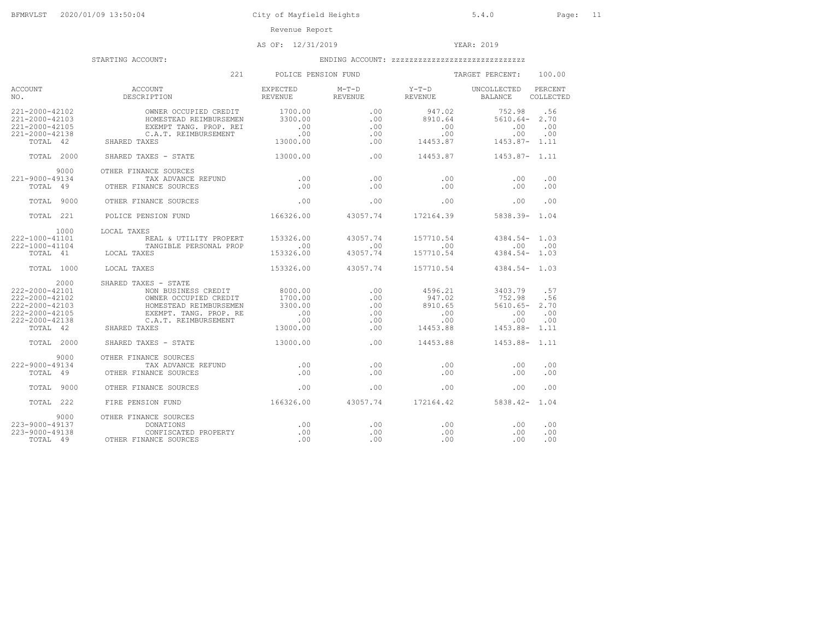# AS OF: 12/31/2019 YEAR: 2019

|                                                                                                                  | 221                                                                                                                                                              | POLICE PENSION FUND                                           |                                         |                                                        | TARGET PERCENT:                                                 | 100.00                           |
|------------------------------------------------------------------------------------------------------------------|------------------------------------------------------------------------------------------------------------------------------------------------------------------|---------------------------------------------------------------|-----------------------------------------|--------------------------------------------------------|-----------------------------------------------------------------|----------------------------------|
| ACCOUNT<br>NO.                                                                                                   | <b>ACCOUNT</b><br>ACCOUNT<br>DESCRIPTION                                                                                                                         | EXPECTED<br>REVENUE                                           | REVENUE                                 | M-T-D Y-T-D UNCOLLECTED<br><b>REVENUE</b>              | BALANCE                                                         | PERCENT<br>COLLECTED             |
| 221-2000-42102<br>221-2000-42103<br>221-2000-42105<br>221-2000-42138<br>TOTAL 42                                 | OWNER OCCUPIED CREDIT<br>HOMESTEAD REIMBURSEMEN 3300.00<br>EXEMPT TANG. PROP. REI<br>C.A.T. REIMBURSEMENT<br>SHARED TAXES                                        | 1700.00<br>.00<br>$\sim$ 00<br>13000.00                       | .00<br>.00<br>.00<br>.00<br>.00         | 947.02<br>8910.64<br>.00<br>.00<br>14453.87            | 752.98<br>$5610.64 - 2.70$<br>.00<br>.00<br>1453.87- 1.11       | .56<br>00<br>.00                 |
| TOTAL 2000                                                                                                       | SHARED TAXES - STATE                                                                                                                                             | 13000.00                                                      | .00.                                    |                                                        | 14453.87 1453.87- 1.11                                          |                                  |
| 9000<br>221-9000-49134<br>TOTAL 49                                                                               | OTHER FINANCE SOURCES<br>TAX ADVANCE REFUND .00<br>OTHER FINANCE SOURCES                                                                                         | .00                                                           | .00<br>.00                              | .00<br>.00                                             | .00<br>.00                                                      | .00<br>.00                       |
| TOTAL 9000                                                                                                       | OTHER FINANCE SOURCES                                                                                                                                            | .00                                                           | .00                                     | .00                                                    | .00                                                             | .00                              |
| TOTAL 221                                                                                                        | POLICE PENSION FUND 166326.00 43057.74 172164.39 5838.39 5838.39 1.04                                                                                            |                                                               |                                         |                                                        |                                                                 |                                  |
| 1000<br>$222 - 1000 - 41101$<br>222-1000-41104<br>TOTAL 41                                                       | LOCAL TAXES<br>REAL & UTILITY PROPERT 153326.00<br>TANGIBLE PERSONAL PROP<br>LOCAL TAXES                                                                         | $\sim$ 00<br>153326.00                                        | 43057.74<br>.00<br>43057.74             | 157710.54<br>.00<br>157710.54                          | $4384.54 - 1.03$<br>.00<br>$4384.54 - 1.03$                     | .00                              |
| TOTAL 1000                                                                                                       | LOCAL TAXES                                                                                                                                                      | 153326.00                                                     | 43057.74                                | 157710.54                                              | $4.384.54 - 1.03$                                               |                                  |
| 2000<br>$222 - 2000 - 42101$<br>222-2000-42102<br>222-2000-42103<br>222-2000-42105<br>222-2000-42138<br>TOTAL 42 | SHARED TAXES - STATE<br>NON BUSINESS CREDIT<br>OWNER OCCUPIED CREDIT<br>HOMESTEAD REIMBURSEMEN<br>EXEMPT. TANG. PROP. RE<br>C.A.T. REIMBURSEMENT<br>SHARED TAXES | 8000.00<br>1700.00<br>3300.00<br>$\sim$ 00<br>.00<br>13000.00 | .00.<br>.00<br>.00<br>.00<br>.00<br>.00 | 4596.21<br>947.02<br>8910.65<br>.00<br>.00<br>14453.88 | 3403.79<br>752.98<br>5610.65-<br>.00<br>.00<br>$1453.88 - 1.11$ | .57<br>.56<br>2.70<br>.00<br>.00 |
| TOTAL 2000                                                                                                       | SHARED TAXES - STATE                                                                                                                                             | 13000.00                                                      | .00.                                    | 14453.88                                               | 1453.88- 1.11                                                   |                                  |
| 9000<br>222-9000-49134<br>TOTAL 49                                                                               | OTHER FINANCE SOURCES<br>TAX ADVANCE REFUND<br>OTHER FINANCE SOURCES                                                                                             | $\overline{0}$ .<br>.00                                       | .00<br>.00                              | .00<br>.00                                             | .00<br>.00                                                      | .00<br>.00                       |
| TOTAL 9000                                                                                                       | OTHER FINANCE SOURCES                                                                                                                                            | .00                                                           | .00                                     | .00                                                    | .00                                                             | .00                              |
| TOTAL 222                                                                                                        | 166326.00<br>FIRE PENSION FUND                                                                                                                                   |                                                               | 43057.74                                |                                                        | 172164.42 5838.42- 1.04                                         |                                  |
| 9000<br>$223 - 9000 - 49137$<br>$223 - 9000 - 49138$<br>TOTAL 49                                                 | OTHER FINANCE SOURCES<br>DONATIONS<br>CONFISCATED PROPERTY<br>OTHER FINANCE SOURCES                                                                              | .00<br>.00<br>.00                                             | .00<br>.00<br>.00                       | .00<br>.00<br>.00                                      | .00<br>.00<br>.00                                               | .00<br>.00<br>.00                |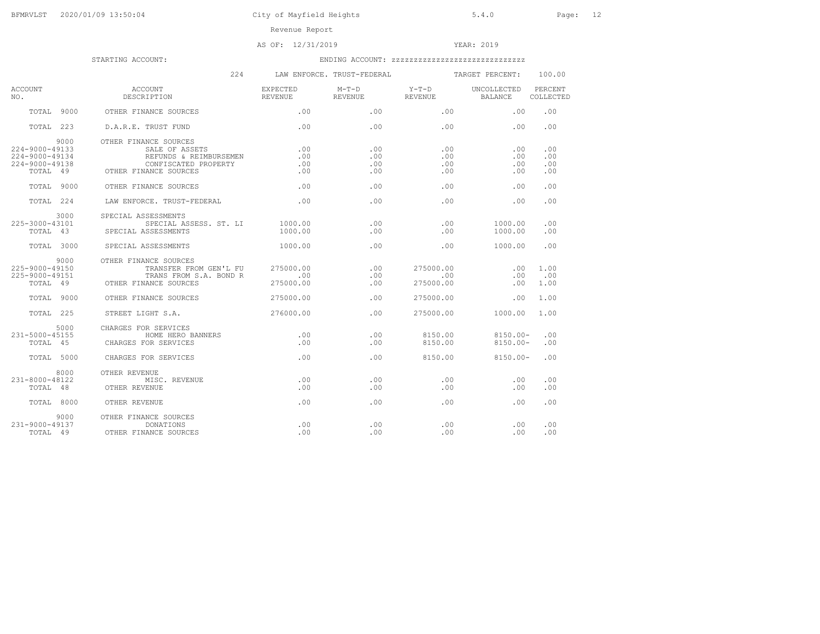# AS OF: 12/31/2019 YEAR: 2019

|                                                                        | 224                                                                                                                                               |                                                                                                                                                                                                                                                                                      | LAW ENFORCE. TRUST-FEDERAL |                                              | TARGET PERCENT:          | 100.00                   |
|------------------------------------------------------------------------|---------------------------------------------------------------------------------------------------------------------------------------------------|--------------------------------------------------------------------------------------------------------------------------------------------------------------------------------------------------------------------------------------------------------------------------------------|----------------------------|----------------------------------------------|--------------------------|--------------------------|
| <b>ACCOUNT</b><br>NO.                                                  | ACCOUNT                                                                                                                                           | <b>EXPECTED</b>                                                                                                                                                                                                                                                                      | M-T-D Y-T-D UNCOLLECTED    |                                              |                          | PERCENT<br>COLLECTED     |
| TOTAL 9000                                                             | OTHER FINANCE SOURCES                                                                                                                             | $\sim$ 00 $\sim$ 00 $\sim$ 00 $\sim$ 00 $\sim$ 00 $\sim$ 00 $\sim$ 00 $\sim$ 00 $\sim$ 00 $\sim$ 00 $\sim$ 00 $\sim$ 00 $\sim$ 00 $\sim$ 00 $\sim$ 00 $\sim$ 00 $\sim$ 00 $\sim$ 00 $\sim$ 00 $\sim$ 00 $\sim$ 00 $\sim$ 00 $\sim$ 00 $\sim$ 00 $\sim$ 00 $\sim$ 00 $\sim$ 00 $\sim$ |                            | $\, .00 \qquad \qquad .00 \qquad \qquad .00$ |                          | .00                      |
| TOTAL 223                                                              | D.A.R.E. TRUST FUND                                                                                                                               | .00                                                                                                                                                                                                                                                                                  | .00                        | .00                                          | .00                      | .00                      |
| 9000<br>224-9000-49133<br>224-9000-49134<br>224-9000-49138<br>TOTAL 49 | OTHER FINANCE SOURCES<br>SALE OF ASSETS<br>REFUNDS & REIMBURSEMEN<br>CONFISCATED PROPERTY<br>OTHER FINANCE SOURCES                                | .00<br>.00<br>.00<br>.00                                                                                                                                                                                                                                                             | .00<br>.00<br>.00<br>.00   | .00<br>.00<br>.00<br>.00                     | .00<br>.00<br>.00<br>.00 | .00<br>.00<br>.00<br>.00 |
| TOTAL 9000                                                             | OTHER FINANCE SOURCES                                                                                                                             | $\sim$ 0.0                                                                                                                                                                                                                                                                           | .00                        | .00                                          | .00                      | .00                      |
| TOTAL 224                                                              | LAW ENFORCE. TRUST-FEDERAL .00                                                                                                                    |                                                                                                                                                                                                                                                                                      | $\sim$ 00                  | .00                                          | .00                      | .00                      |
| 3000<br>225-3000-43101                                                 | SPECIAL ASSESSMENTS<br>SPECIAL ASSESS. ST. LI 1000.00<br>TOTAL 43 SPECIAL ASSESSMENTS                                                             | 1000.00                                                                                                                                                                                                                                                                              | .00<br>.00                 | .00<br>.00                                   | 1000.00<br>1000.00       | .00<br>.00               |
| TOTAL 3000                                                             | SPECIAL ASSESSMENTS                                                                                                                               | 1000.00                                                                                                                                                                                                                                                                              | .00                        | .00                                          | 1000.00                  | .00                      |
| 9000<br>225-9000-49150<br>225-9000-49151                               | OTHER FINANCE SOURCES<br>TRANSFER FROM GEN'L FU 275000.00<br>-9000-49151 TRANS FROM S<br>TOTAL 49 OTHER FINANCE SOURCES<br>TRANS FROM S.A. BOND R | 00.<br>275000.00 R                                                                                                                                                                                                                                                                   | .00<br>.00<br>.00          | 275000.00<br>$\sim$ 00<br>275000.00          | $\sim$ 00<br>.00<br>.00  | 1.00<br>.00<br>1.00      |
| TOTAL 9000                                                             | OTHER FINANCE SOURCES                                                                                                                             | 275000.00                                                                                                                                                                                                                                                                            | .00                        | 275000.00                                    | .00                      | 1.00                     |
| TOTAL 225                                                              | STREET LIGHT S.A. 276000.00                                                                                                                       |                                                                                                                                                                                                                                                                                      | .00                        |                                              | 275000.00 1000.00        | 1.00                     |
| 5000<br>231-5000-45155<br>TOTAL 45                                     | CHARGES FOR SERVICES<br>HOME HERO BANNERS<br>CHARGES FOR SERVICES                                                                                 | $\overline{0}$ .<br>$\sim$ 00                                                                                                                                                                                                                                                        | .00<br>.00                 | 8150.00<br>8150.00                           | 8150.00-<br>8150.00-     | .00<br>.00               |
| TOTAL 5000                                                             | CHARGES FOR SERVICES                                                                                                                              |                                                                                                                                                                                                                                                                                      | .00                        | 8150.00 8150.00-                             |                          | .00                      |
| 8000<br>231-8000-48122                                                 | OTHER REVENUE<br>MISC. REVENUE<br>TOTAL 48 OTHER REVENUE                                                                                          | .00<br>.00                                                                                                                                                                                                                                                                           | .00<br>.00                 | $\boldsymbol{\mathsf{.00}}$<br>.00           | .00<br>.00               | .00<br>.00               |
| TOTAL 8000                                                             | OTHER REVENUE                                                                                                                                     | .00                                                                                                                                                                                                                                                                                  | .00                        | .00                                          | .00                      | .00                      |
| 9000<br>231-9000-49137<br>TOTAL 49                                     | OTHER FINANCE SOURCES<br>DONATIONS<br>OTHER FINANCE SOURCES                                                                                       | .00<br>.00                                                                                                                                                                                                                                                                           | .00<br>.00                 | .00<br>.00                                   | $\sim$ 00<br>.00         | .00<br>.00               |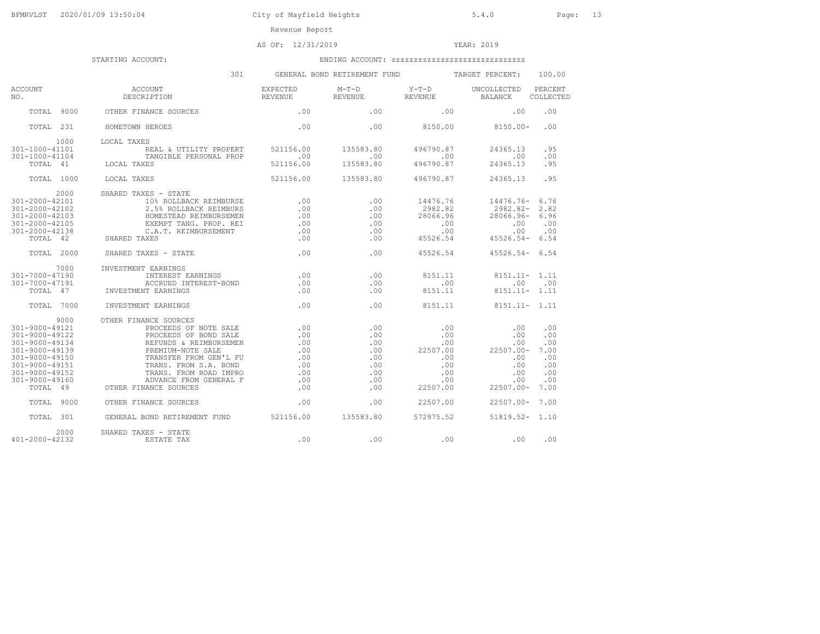# AS OF: 12/31/2019 YEAR: 2019

|                                                                                                                                                                                    | 301                                                                                                                                                                                                                                                                                                      |                                                                    | GENERAL BOND RETIREMENT FUND                                       |                                                                                   | TARGET PERCENT:                                                                                 | 100.00                                                        |
|------------------------------------------------------------------------------------------------------------------------------------------------------------------------------------|----------------------------------------------------------------------------------------------------------------------------------------------------------------------------------------------------------------------------------------------------------------------------------------------------------|--------------------------------------------------------------------|--------------------------------------------------------------------|-----------------------------------------------------------------------------------|-------------------------------------------------------------------------------------------------|---------------------------------------------------------------|
| ACCOUNT<br>NO.                                                                                                                                                                     | ACCOUNT<br>DESCRIPTION                                                                                                                                                                                                                                                                                   | EXPECTED<br>REVENUE REVENUE                                        | $M-T-D$                                                            | Y-T-D UNCOLLECTED<br><b>REVENUE</b>                                               | <b>BALANCE</b>                                                                                  | PERCENT<br>COLLECTED                                          |
| TOTAL 9000                                                                                                                                                                         | OTHER FINANCE SOURCES                                                                                                                                                                                                                                                                                    | .00                                                                | .00                                                                | .00                                                                               | .00                                                                                             | .00                                                           |
| TOTAL 231                                                                                                                                                                          | HOMETOWN HEROES                                                                                                                                                                                                                                                                                          | .00                                                                |                                                                    |                                                                                   | $.00 8150.00 8150.00-$                                                                          | .00                                                           |
| 1000<br>301-1000-41101<br>$301 - 1000 - 41104$<br>TOTAL 41                                                                                                                         | LOCAL TAXES<br>REAL & UTILITY PROPERT 521156.00<br>TANGIBLE PERSONAL PROP<br>LOCAL TAXES                                                                                                                                                                                                                 | $\sim$ 00<br>521156.00                                             | 135583.80<br>.00<br>135583.80                                      | 496790.87<br>.00<br>496790.87                                                     | 24365.13<br>.00<br>24365.13                                                                     | .95<br>.00<br>.95                                             |
| TOTAL 1000                                                                                                                                                                         | LOCAL TAXES                                                                                                                                                                                                                                                                                              | 521156.00                                                          | 135583.80                                                          | 496790.87                                                                         | 24365.13                                                                                        | .95                                                           |
| 2000<br>301-2000-42101<br>$301 - 2000 - 42102$<br>301-2000-42103<br>301-2000-42105<br>301-2000-42138<br>TOTAL 42                                                                   | SHARED TAXES - STATE<br>10% ROLLBACK REIMBURSE<br>2.5% ROLLBACK REIMBURS<br>HOMESTEAD REIMBURSEMEN<br>EXEMPT TANG. PROP. REI<br>EXEMPT IANG.<br>C.A.T. REIMBURSEMENT<br>SHARED TAXES                                                                                                                     | .00<br>.00<br>.00<br>.00<br>.00<br>.00                             | .00<br>.00<br>.00<br>.00<br>.00<br>.00                             | 14476.76<br>2982.82<br>28066.96<br>.00<br>.00<br>45526.54                         | 14476.76-<br>2982.82-<br>28066.96- 6.96<br>.00<br>.00<br>$45526.54 - 6.54$                      | 6.76<br>2.82<br>.00<br>.00                                    |
| TOTAL 2000                                                                                                                                                                         | SHARED TAXES - STATE                                                                                                                                                                                                                                                                                     | .00                                                                | .00                                                                | 45526.54                                                                          | $45526.54 - 6.54$                                                                               |                                                               |
| 7000<br>301-7000-47190<br>301-7000-47191<br>TOTAL 47<br>TOTAL 7000                                                                                                                 | INVESTMENT EARNINGS<br>INTEREST EARNINGS<br>ACCRUED INT<br>INVESTMENT EARNINGS<br>ACCRUED INTEREST-BOND<br>INVESTMENT EARNINGS                                                                                                                                                                           | .00<br>.00<br>.00<br>.00                                           | .00<br>.00<br>.00<br>.00                                           | 8151.11<br>.00<br>8151.11<br>8151.11                                              | $8151.11 - 1.11$<br>.00<br>$8151.11 - 1.11$<br>$8151.11 - 1.11$                                 | .00                                                           |
| 9000<br>301-9000-49121<br>301-9000-49122<br>301-9000-49134<br>301-9000-49139<br>301-9000-49150<br>301-9000-49151<br>301-9000-49152<br>301-9000-49160<br>TOTAL 49<br>9000<br>TOTAL. | OTHER FINANCE SOURCES<br>PROCEEDS OF NOTE SALE<br>PROCEEDS OF NOTE SALE<br>PROCEEDS OF BOND SALE<br>REFUNDS & REIMBURSEMEN<br>PREMIUM-NOTE SALE<br>TRANSFER FROM GEN'L FU<br>TRANS, FROM S.A. BOND<br>TRANS. FROM ROAD IMPRO<br>ADVANCE FROM GENERAL F<br>OTHER FINANCE SOURCES<br>OTHER FINANCE SOURCES | .00<br>.00<br>.00<br>.00<br>.00<br>.00<br>.00<br>.00<br>.00<br>.00 | .00<br>.00<br>.00<br>.00<br>.00<br>.00<br>.00<br>.00<br>.00<br>.00 | .00<br>.00<br>.00<br>22507.00<br>.00<br>.00<br>.00<br>.00<br>22507.00<br>22507.00 | .00<br>.00<br>.00<br>$22507.00 -$<br>.00<br>.00<br>.00<br>.00<br>$22507.00 -$<br>22507.00- 7.00 | .00<br>.00<br>.00<br>7.00<br>.00<br>.00<br>.00<br>.00<br>7.00 |
| TOTAL 301                                                                                                                                                                          | GENERAL BOND RETIREMENT FUND 521156.00                                                                                                                                                                                                                                                                   |                                                                    | 135583.80                                                          | 572975.52                                                                         | $51819.52 - 1.10$                                                                               |                                                               |
| 2000<br>401-2000-42132                                                                                                                                                             | SHARED TAXES - STATE<br>ESTATE TAX                                                                                                                                                                                                                                                                       | .00                                                                | .00                                                                | .00                                                                               | .00                                                                                             | .00                                                           |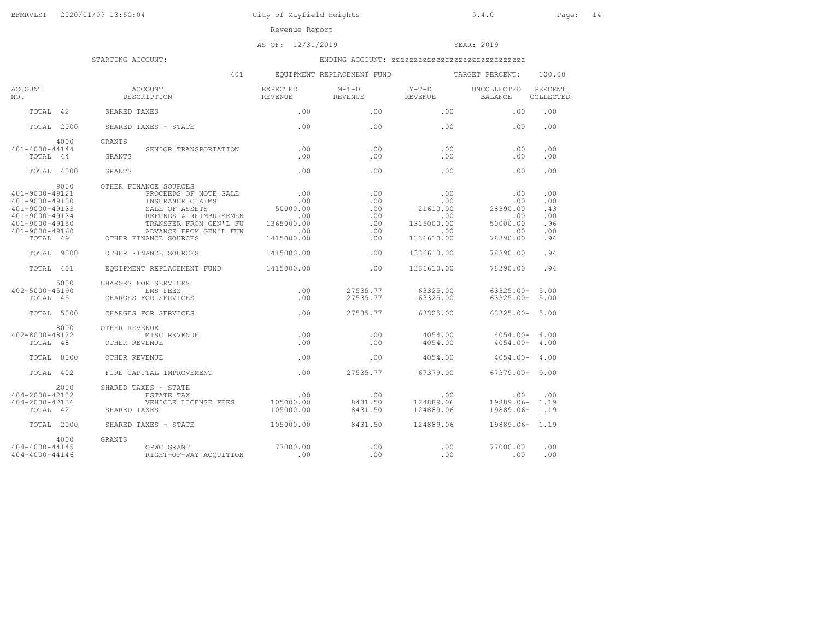# AS OF: 12/31/2019 YEAR: 2019

|                                                                                                                                    | 401                                                                                                                                                                                             |                                                           | EQUIPMENT REPLACEMENT FUND                     |                                                                  | TARGET PERCENT:                                              | 100.00                                        |
|------------------------------------------------------------------------------------------------------------------------------------|-------------------------------------------------------------------------------------------------------------------------------------------------------------------------------------------------|-----------------------------------------------------------|------------------------------------------------|------------------------------------------------------------------|--------------------------------------------------------------|-----------------------------------------------|
| ACCOUNT<br>NO.                                                                                                                     | ACCOUNT<br>DESCRIPTION                                                                                                                                                                          | EXPECTED<br>REVENUE                                       | $M-T-D$<br>REVENUE                             | $Y-T-D$<br>REVENUE                                               | UNCOLLECTED<br>BALANCE                                       | PERCENT<br>COLLECTED                          |
| TOTAL 42                                                                                                                           | SHARED TAXES                                                                                                                                                                                    | .00.                                                      | .00                                            | .00.                                                             | .00.                                                         | .00                                           |
| TOTAL 2000                                                                                                                         | SHARED TAXES - STATE                                                                                                                                                                            | .00                                                       | .00.                                           | .00.                                                             | .00.                                                         | .00                                           |
| 4000                                                                                                                               | GRANTS                                                                                                                                                                                          |                                                           |                                                |                                                                  |                                                              |                                               |
| 401-4000-44144<br>TOTAL 44                                                                                                         | SENIOR TRANSPORTATION<br>GRANTS                                                                                                                                                                 | .00<br>.00                                                | .00<br>.00                                     | .00<br>.00                                                       | .00<br>.00                                                   | .00<br>.00                                    |
| TOTAL 4000                                                                                                                         | <b>GRANTS</b>                                                                                                                                                                                   | .00                                                       | .00.                                           | .00.                                                             | .00                                                          | .00                                           |
| 9000<br>401-9000-49121<br>401-9000-49130<br>$401 - 9000 - 49133$<br>401-9000-49134<br>401-9000-49150<br>401-9000-49160<br>TOTAL 49 | OTHER FINANCE SOURCES<br>PROCEEDS OF NOTE SALE .00<br>INSURANCE CLAIMS<br>SALE OF ASSETS<br>REFUNDS & REIMBURSEMEN<br>TRANSFER FROM GEN'L FU<br>ADVANCE FROM GEN'L FUN<br>OTHER FINANCE SOURCES | .00<br>50000.00<br>.00<br>1365000.00<br>.00<br>1415000.00 | .00<br>.00<br>.00<br>.00<br>.00<br>.00.<br>.00 | .00<br>.00<br>21610.00<br>.00<br>1315000.00<br>.00<br>1336610.00 | .00<br>.00<br>28390.00<br>.00<br>50000.00<br>.00<br>78390.00 | .00<br>.00<br>.43<br>.00<br>.96<br>.00<br>.94 |
| TOTAL 9000                                                                                                                         | OTHER FINANCE SOURCES                                                                                                                                                                           | 1415000.00                                                | .00                                            | 1336610.00                                                       | 78390.00                                                     | .94                                           |
| TOTAL 401                                                                                                                          | EOUIPMENT REPLACEMENT FUND                                                                                                                                                                      | 1415000.00                                                | .00                                            | 1336610.00                                                       | 78390.00                                                     | .94                                           |
| 5000<br>402-5000-45190<br>TOTAL 45<br>TOTAL 5000                                                                                   | CHARGES FOR SERVICES<br>EMS FEES<br>CHARGES FOR SERVICES<br>CHARGES FOR SERVICES                                                                                                                | .00<br>.00<br>.00                                         | 27535.77<br>27535.77<br>27535.77               | 63325.00<br>63325.00<br>63325.00                                 | $63325.00 - 5.00$<br>$63325.00 - 5.00$<br>$63325.00 - 5.00$  |                                               |
| 8000<br>402-8000-48122<br>TOTAL 48                                                                                                 | OTHER REVENUE<br>MISC REVENUE<br>OTHER REVENUE                                                                                                                                                  | .00<br>.00                                                | .00.<br>.00.                                   | 4054.00<br>4054.00                                               | $4054.00 - 4.00$<br>$4054.00 -$                              | 4.00                                          |
| TOTAL 8000                                                                                                                         | OTHER REVENUE                                                                                                                                                                                   | .00                                                       | .00.                                           | 4054.00                                                          | $4054.00 - 4.00$                                             |                                               |
| TOTAL 402                                                                                                                          | FIRE CAPITAL IMPROVEMENT                                                                                                                                                                        | .00                                                       | 27535.77                                       | 67379.00                                                         | $67379.00 - 9.00$                                            |                                               |
| 2000<br>404-2000-42132<br>404-2000-42136<br>TOTAL 42<br>TOTAL 2000                                                                 | SHARED TAXES - STATE<br>ESTATE TAX<br>VEHICLE LICENSE FEES<br>SHARED TAXES<br>SHARED TAXES - STATE                                                                                              | .00<br>105000.00<br>105000.00<br>105000.00                | .00<br>8431.50<br>8431.50<br>8431.50           | .00<br>124889.06<br>124889.06<br>124889.06                       | .00<br>19889.06- 1.19<br>19889.06- 1.19<br>19889.06- 1.19    | .00                                           |
| 4000<br>404-4000-44145<br>404-4000-44146                                                                                           | <b>GRANTS</b><br>OPWC GRANT<br>RIGHT-OF-WAY ACQUITION                                                                                                                                           | 77000.00<br>.00                                           | .00<br>.00                                     | .00<br>.00                                                       | 77000.00<br>.00                                              | .00<br>.00                                    |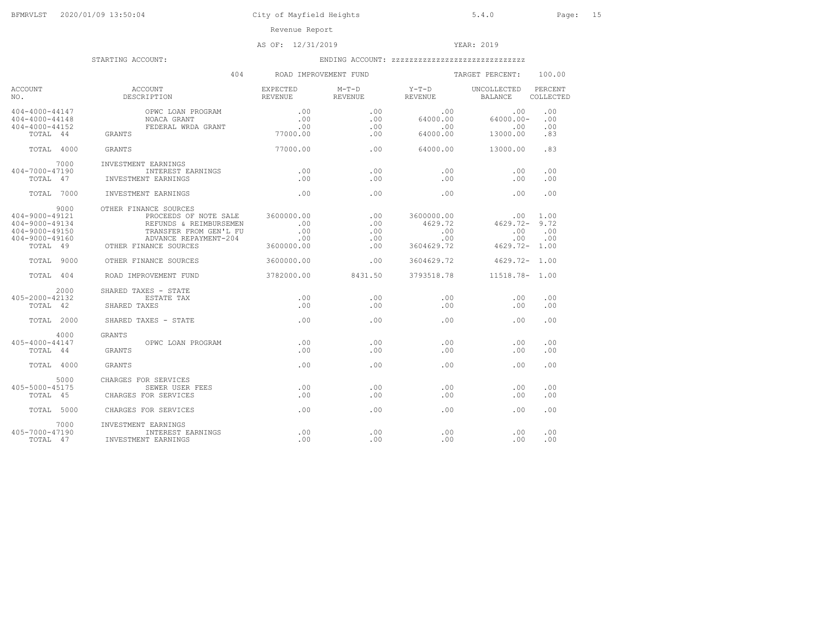# AS OF: 12/31/2019 YEAR: 2019

|                                                                                                      | 404                                                                                                                                                             |                                 | ROAD IMPROVEMENT FUND           |                                                   | TARGET PERCENT:                                   | 100.00                     |
|------------------------------------------------------------------------------------------------------|-----------------------------------------------------------------------------------------------------------------------------------------------------------------|---------------------------------|---------------------------------|---------------------------------------------------|---------------------------------------------------|----------------------------|
| ACCOUNT<br>NO.                                                                                       | ACCOUNT<br>DESCRIPTION                                                                                                                                          | EXPECTED<br>REVENUE             | $M-T-D$<br>REVENUE              | $Y-T-D$<br>REVENUE                                | UNCOLLECTED<br><b>BALANCE</b>                     | PERCENT<br>COLLECTED       |
| 404-4000-44147<br>$404 - 4000 - 44148$<br>$404 - 4000 - 44152$<br>TOTAL 44                           | OPWC LOAN PROGRAM<br>NOACA GRANT<br>FEDERAL WRDA GRANT<br>GRANTS                                                                                                | .00<br>.00<br>.00<br>77000.00   | .00<br>.00.<br>.00<br>.00       | .00<br>64000.00<br>.00<br>64000.00                | .00<br>$64000.00 -$<br>.00<br>13000.00            | .00<br>.00<br>.00<br>.83   |
| TOTAL 4000                                                                                           | GRANTS                                                                                                                                                          | 77000.00                        | .00                             | 64000.00                                          | 13000.00                                          | .83                        |
| 7000<br>404-7000-47190<br>TOTAL 47                                                                   | INVESTMENT EARNINGS<br>INTEREST EARNINGS<br>INVESTMENT EARNINGS                                                                                                 | .00<br>.00                      | .00<br>.00                      | .00<br>.00                                        | .00<br>.00                                        | .00<br>.00                 |
| TOTAL 7000                                                                                           | <b>INVESTMENT EARNINGS</b>                                                                                                                                      | .00                             | .00                             | .00                                               | .00                                               | .00                        |
| 9000<br>$404 - 9000 - 49121$<br>$404 - 9000 - 49134$<br>404-9000-49150<br>404-9000-49160<br>TOTAL 49 | OTHER FINANCE SOURCES<br>PROCEEDS OF NOTE SALE 3600000.00<br>REFUNDS & REIMBURSEMEN<br>TRANSFER FROM GEN'L FU<br>ADVANCE REPAYMENT-204<br>OTHER FINANCE SOURCES | .00<br>.00<br>.00<br>3600000.00 | .00<br>.00<br>.00<br>.00<br>.00 | 3600000.00<br>4629.72<br>.00<br>.00<br>3604629.72 | .00<br>4629.72-<br>.00<br>.00<br>$4629.72 - 1.00$ | 1.00<br>9.72<br>.00<br>.00 |
| TOTAL 9000                                                                                           | OTHER FINANCE SOURCES                                                                                                                                           | 3600000.00                      | .00                             | 3604629.72                                        | $4629.72 - 1.00$                                  |                            |
| TOTAL 404                                                                                            | ROAD IMPROVEMENT FUND                                                                                                                                           | 3782000.00                      | 8431.50                         | 3793518.78                                        | 11518.78- 1.00                                    |                            |
| 2000<br>405-2000-42132<br>TOTAL 42                                                                   | SHARED TAXES - STATE<br>ESTATE TAX<br>SHARED TAXES                                                                                                              | .00<br>.00                      | .00<br>.00                      | .00<br>.00                                        | .00<br>.00                                        | .00<br>.00                 |
| TOTAL 2000                                                                                           | SHARED TAXES - STATE                                                                                                                                            | .00                             | .00                             | .00                                               | .00                                               | .00                        |
| 4000<br>$405 - 4000 - 44147$<br>TOTAL 44                                                             | GRANTS<br>OPWC LOAN PROGRAM<br>GRANTS                                                                                                                           | .00<br>.00                      | .00<br>.00                      | .00<br>.00                                        | .00<br>.00                                        | .00<br>.00                 |
| TOTAL 4000                                                                                           | GRANTS                                                                                                                                                          | .00                             | .00                             | .00.                                              | .00                                               | .00                        |
| 5000<br>405-5000-45175<br>TOTAL 45                                                                   | CHARGES FOR SERVICES<br>SEWER USER FEES<br>CHARGES FOR SERVICES                                                                                                 | .00<br>.00                      | .00<br>.00                      | .00<br>.00                                        | .00<br>.00                                        | .00<br>.00                 |
| TOTAL 5000                                                                                           | CHARGES FOR SERVICES                                                                                                                                            | .00                             | .00                             | .00                                               | .00                                               | .00                        |
| 7000<br>405-7000-47190<br>TOTAL 47                                                                   | INVESTMENT EARNINGS<br>INTEREST EARNINGS<br>INVESTMENT EARNINGS                                                                                                 | .00<br>.00                      | .00<br>.00                      | .00<br>.00                                        | .00<br>.00                                        | .00<br>.00                 |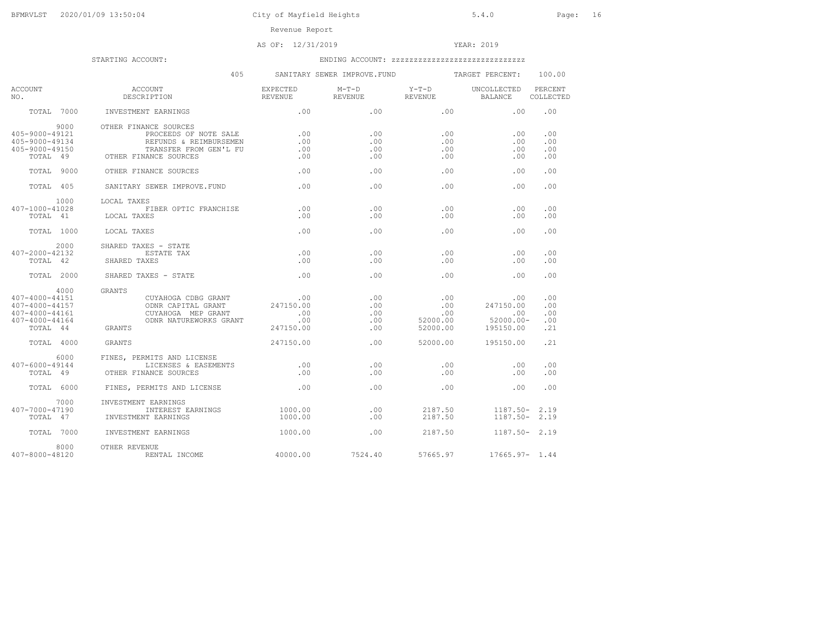# AS OF: 12/31/2019 YEAR: 2019

|                                                                                                | 405<br>SANITARY SEWER IMPROVE.FUND                                                                                          |                                             |                                 |                                           | TARGET PERCENT:                                   | 100.00                          |  |
|------------------------------------------------------------------------------------------------|-----------------------------------------------------------------------------------------------------------------------------|---------------------------------------------|---------------------------------|-------------------------------------------|---------------------------------------------------|---------------------------------|--|
| <b>ACCOUNT</b><br>NO.                                                                          | ACCOUNT<br>DESCRIPTION                                                                                                      | <b>EXPECTED</b><br>REVENUE                  | M-T-D<br>REVENUE                | $Y-T-D$<br>REVENUE                        | <b>UNCOLLECTED</b><br>BALANCE                     | PERCENT<br>COLLECTED            |  |
| TOTAL 7000                                                                                     | INVESTMENT EARNINGS                                                                                                         | .00                                         | .00                             | .00                                       | .00                                               | .00                             |  |
| 9000<br>405-9000-49121<br>405-9000-49134<br>405-9000-49150<br>TOTAL 49                         | OTHER FINANCE SOURCES<br>PROCEEDS OF NOTE SALE<br>REFUNDS & REIMBURSEMEN<br>TRANSFER FROM GEN'L FU<br>OTHER FINANCE SOURCES | .00<br>.00<br>.00<br>.00                    | .00.<br>.00<br>.00<br>.00.      | .00<br>.00<br>.00<br>.00                  | .00<br>.00<br>.00<br>.00                          | .00<br>.00<br>.00<br>.00        |  |
| TOTAL 9000                                                                                     | OTHER FINANCE SOURCES                                                                                                       | .00                                         | .00                             | .00                                       | .00                                               | .00                             |  |
| TOTAL 405                                                                                      | SANITARY SEWER IMPROVE.FUND                                                                                                 | .00                                         | .00                             | .00                                       | .00                                               | .00                             |  |
| 1000<br>407-1000-41028<br>TOTAL 41<br>TOTAL 1000                                               | LOCAL TAXES<br>FIBER OPTIC FRANCHISE<br>LOCAL TAXES<br>LOCAL TAXES                                                          | .00<br>.00<br>.00                           | .00<br>.00.<br>.00              | .00<br>.00<br>.00                         | .00<br>.00<br>.00                                 | .00<br>.00<br>.00               |  |
| 2000<br>407-2000-42132<br>TOTAL 42                                                             | SHARED TAXES - STATE<br>ESTATE TAX<br>SHARED TAXES                                                                          | .00<br>.00                                  | .00<br>.00                      | .00<br>.00                                | .00<br>.00                                        | .00<br>.00                      |  |
| TOTAL 2000                                                                                     | SHARED TAXES - STATE                                                                                                        | .00                                         | .00.                            | .00.                                      | .00                                               | .00                             |  |
| 4000<br>407-4000-44151<br>$407 - 4000 - 44157$<br>407-4000-44161<br>407-4000-44164<br>TOTAL 44 | GRANTS<br>CUYAHOGA CDBG GRANT<br>ODNR CAPITAL GRANT<br>CUYAHOGA MEP GRANT<br>ODNR NATUREWORKS GRANT<br>GRANTS               | .00<br>247150.00<br>.00<br>.00<br>247150.00 | .00<br>.00<br>.00<br>.00<br>.00 | .00<br>.00<br>.00<br>52000.00<br>52000.00 | .00<br>247150.00<br>.00<br>52000.00-<br>195150.00 | .00<br>.00<br>.00<br>.00<br>.21 |  |
| TOTAL 4000                                                                                     | GRANTS                                                                                                                      | 247150.00                                   | .00                             | 52000.00                                  | 195150.00                                         | .21                             |  |
| 6000<br>407-6000-49144<br>TOTAL 49                                                             | FINES, PERMITS AND LICENSE<br>LICENSES & EASEMENTS<br>OTHER FINANCE SOURCES                                                 | $\sim$ 00<br>.00                            | .00<br>.00.                     | .00<br>.00                                | .00<br>.00                                        | .00<br>.00                      |  |
| TOTAL 6000                                                                                     | FINES, PERMITS AND LICENSE                                                                                                  | $\sim$ 00                                   | .00                             | .00                                       | .00                                               | .00                             |  |
| 7000<br>407-7000-47190<br>TOTAL 47                                                             | INVESTMENT EARNINGS<br>INTEREST EARNINGS<br>INVESTMENT EARNINGS                                                             | 1000.00<br>1000.00                          | .00<br>.00                      | 2187.50<br>2187.50                        | 1187.50-<br>$1187.50 - 2.19$                      | 2.19                            |  |
| TOTAL 7000                                                                                     | INVESTMENT EARNINGS                                                                                                         | 1000.00                                     | .00                             | 2187.50                                   | $1187.50 - 2.19$                                  |                                 |  |
| 8000<br>407-8000-48120                                                                         | OTHER REVENUE<br>RENTAL INCOME                                                                                              | 40000.00                                    | 7524.40                         | 57665.97                                  | $17665.97 - 1.44$                                 |                                 |  |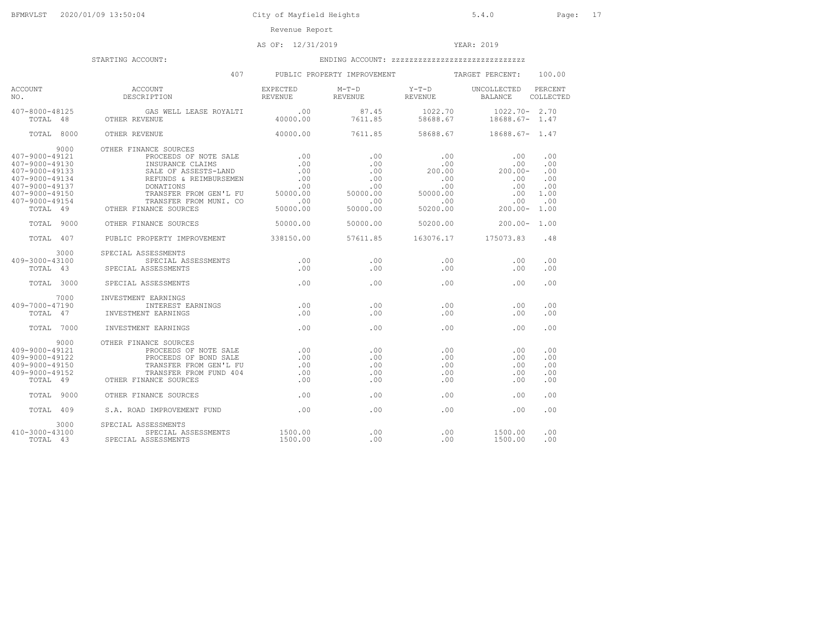# AS OF: 12/31/2019 YEAR: 2019

|                                                                                                                                    | 407 — 100                                                                                                                                                                                                                                                                                                                                                                                                                                   |                          | PUBLIC PROPERTY IMPROVEMENT TARGET PERCENT:                    |                                                                                                   |                                                                                       | 100.00                                         |
|------------------------------------------------------------------------------------------------------------------------------------|---------------------------------------------------------------------------------------------------------------------------------------------------------------------------------------------------------------------------------------------------------------------------------------------------------------------------------------------------------------------------------------------------------------------------------------------|--------------------------|----------------------------------------------------------------|---------------------------------------------------------------------------------------------------|---------------------------------------------------------------------------------------|------------------------------------------------|
| ACCOUNT<br>NO.                                                                                                                     | <b>ACCOUNT</b><br>${\tt ACCOUNT} \hspace*{1.5cm} {\tt EXPECTED} \hspace*{1.5cm} {\tt M-T-D} \hspace*{1.5cm} {\tt Y-T-D} \hspace*{1.5cm} {\tt UNCOLLECTED} \hspace*{1.5cm} {\tt DESCRIPTION} \hspace*{1.5cm} {\tt RIVENUE} \hspace*{1.5cm} {\tt REVENUE} \hspace*{1.5cm} {\tt REVENUE} \hspace*{1.5cm} {\tt BALANCE} \hspace*{1.5cm} {\tt BALANCE} \hspace*{1.5cm} {\tt RIVENUE} \hspace*{1.5cm} {\tt RIVENUE} \hspace*{1.5cm} {\tt RIVENUE$ |                          | M-T-D Y-T-D UNCOLLECTED PERCENT                                |                                                                                                   |                                                                                       | COLLECTED                                      |
|                                                                                                                                    | $\begin{array}{cccccccc} 407-8000-48125 & & & & & & & & & & & 1022.70 \\ \text{TOTAL} & 48 & & & & & & & & & & 1028.67 \\ \end{array}$                                                                                                                                                                                                                                                                                                      |                          |                                                                |                                                                                                   | $1022.70 - 2.70$<br>18688.67- 1.47                                                    |                                                |
| TOTAL 8000                                                                                                                         | OTHER REVENUE                                                                                                                                                                                                                                                                                                                                                                                                                               |                          | 40000.00 7611.85 58688.67                                      |                                                                                                   | 18688.67- 1.47                                                                        |                                                |
| 9000<br>407-9000-49121<br>407-9000-49130<br>407-9000-49133<br>407-9000-49134<br>407-9000-49137<br>407-9000-49150<br>407-9000-49154 | OTHER FINANCE SOURCES<br>INSURANCE CLAIMS<br>SALE OF ASSESTS-LAND<br>SALE OF ASSESTS-LAND .00<br>REIMBURSEMEN .00<br>DONATIONS & REIMBURSEMEN .00<br>TRANSFER FROM GEN'L FU 50000.00<br>TRANSFER FROM MUNI. CO<br>-9000-49154 TRANSFER FROM<br>TOTAL 49 OTHER FINANCE SOURCES                                                                                                                                                               | .00<br>$-0.00000000$     | .00<br>.00<br>.00<br>.00<br>.00<br>50000.00<br>.00<br>50000.00 | $\begin{array}{c} 0.00 \\ -0.00 \end{array}$<br>200.00<br>.00<br>$00.00$ .com .00<br>$50200 - 00$ | .00<br>$\frac{100}{200.00}$<br>.00<br>.00<br>.00<br>.00<br>$50200.00$ $200.00$ $1.00$ | .00<br>.00<br>.00<br>.00<br>.00<br>1.00<br>.00 |
| TOTAL 9000                                                                                                                         | OTHER FINANCE SOURCES                                                                                                                                                                                                                                                                                                                                                                                                                       | 50000.00                 |                                                                | 50000.00 50200.00                                                                                 | $200.00 - 1.00$                                                                       |                                                |
| TOTAL 407                                                                                                                          | PUBLIC PROPERTY IMPROVEMENT 338150.00 57611.85 163076.17 175073.83                                                                                                                                                                                                                                                                                                                                                                          |                          |                                                                |                                                                                                   |                                                                                       | .48                                            |
| 3000<br>409-3000-43100                                                                                                             | SPECIAL ASSESSMENTS<br>SPECIAL ASSESSMENTS<br>TOTAL 43 SPECIAL ASSESSMENTS                                                                                                                                                                                                                                                                                                                                                                  | .00<br>.00               | .00<br>.00                                                     | .00<br>.00                                                                                        | .00<br>.00                                                                            | .00<br>.00                                     |
| TOTAL 3000                                                                                                                         | SPECIAL ASSESSMENTS                                                                                                                                                                                                                                                                                                                                                                                                                         | .00                      | .00                                                            | .00                                                                                               | .00                                                                                   | .00                                            |
| 7000<br>409-7000-47190<br>TOTAL 47                                                                                                 | INVESTMENT EARNINGS<br>INTEREST EARNINGS<br>INVESTMENT EARNINGS                                                                                                                                                                                                                                                                                                                                                                             | .00<br>.00               | .00<br>.00                                                     | .00<br>.00                                                                                        | .00<br>.00                                                                            | .00<br>.00                                     |
| TOTAL 7000                                                                                                                         | INVESTMENT EARNINGS                                                                                                                                                                                                                                                                                                                                                                                                                         | .00                      | .00                                                            | .00                                                                                               | .00                                                                                   | .00                                            |
| 9000<br>409-9000-49121<br>409-9000-49122<br>409-9000-49150<br>409-9000-49152                                                       | OTHER FINANCE SOURCES<br>PROCEEDS OF NOTE SALE .00<br>PROCEEDS OF BOND SALE<br>TRANSFER FROM GEN'L FU<br>9-9000-49152<br>9-9000-49152 TRANSFER FROM<br>TOTAL 49 OTHER FINANCE SOURCES<br>TRANSFER FROM FUND 404                                                                                                                                                                                                                             | .00<br>.00<br>.00<br>.00 | .00<br>.00<br>.00<br>.00<br>$.00 -$                            | .00<br>.00<br>.00.<br>.00<br>.00                                                                  | .00<br>.00<br>.00<br>.00<br>.00                                                       | .00<br>.00<br>.00<br>.00<br>.00                |
| TOTAL 9000                                                                                                                         | OTHER FINANCE SOURCES                                                                                                                                                                                                                                                                                                                                                                                                                       | .00                      | .00                                                            |                                                                                                   | .00<br>.00                                                                            | .00                                            |
| TOTAL 409                                                                                                                          | S.A. ROAD IMPROVEMENT FUND .00                                                                                                                                                                                                                                                                                                                                                                                                              |                          | .00                                                            | .00                                                                                               | .00                                                                                   | .00                                            |
| 3000<br>410-3000-43100<br>TOTAL 43                                                                                                 | SPECIAL ASSESSMENTS<br>SPECIAL ASSESSMENTS 1500.00<br>SPECIAL ASSESSMENTS                                                                                                                                                                                                                                                                                                                                                                   | 1500.00                  | $.00 -$<br>.00                                                 | .00                                                                                               | .00 1500.00<br>1500.00                                                                | .00<br>.00                                     |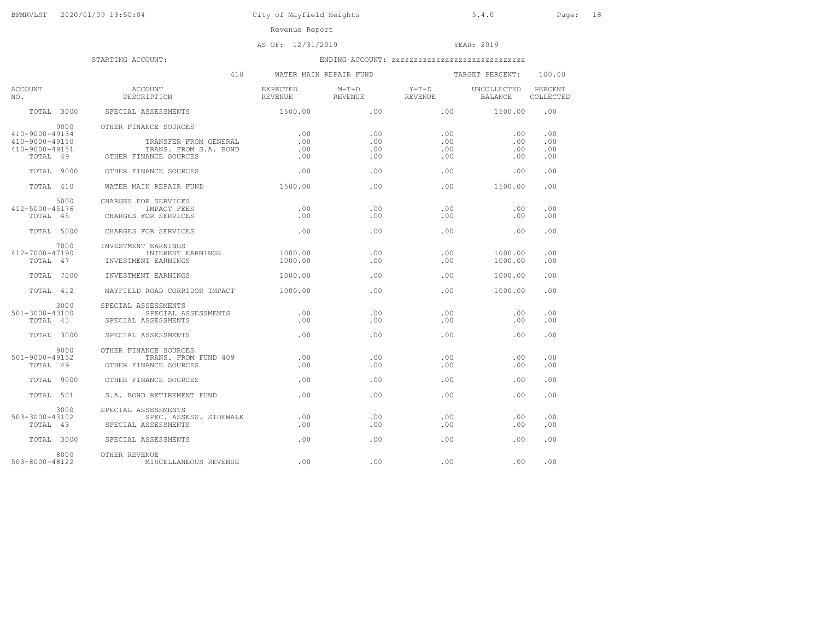# AS OF: 12/31/2019 YEAR: 2019

|                                                    | 410                                                                     |                            | WATER MAIN REPAIR FUND |                    | TARGET PERCENT:        | 100.00               |
|----------------------------------------------------|-------------------------------------------------------------------------|----------------------------|------------------------|--------------------|------------------------|----------------------|
| <b>ACCOUNT</b><br>NO.                              | ACCOUNT<br>DESCRIPTION                                                  | EXPECTED<br><b>REVENUE</b> | $M-T-D$<br>REVENUE     | $Y-T-D$<br>REVENUE | UNCOLLECTED<br>BALANCE | PERCENT<br>COLLECTED |
|                                                    | TOTAL 3000 SPECIAL ASSESSMENTS                                          | 1500.00                    | $\sim$ 00              | .00 1500.00        |                        | .00                  |
| 9000<br>410-9000-49134                             | OTHER FINANCE SOURCES                                                   | .00                        | .00                    | .00                | .00                    | .00                  |
| $410 - 9000 - 49150$<br>410-9000-49151<br>TOTAL 49 | TRANSFER FROM GENERAL<br>TRANS, FROM S.A. BOND<br>OTHER FINANCE SOURCES | .00<br>.00<br>.00          | .00.<br>.00<br>.00     | .00<br>.00<br>.00  | .00<br>.00<br>.00      | .00<br>.00<br>.00    |
| TOTAL 9000                                         | OTHER FINANCE SOURCES                                                   | .00                        | .00                    | .00                | .00                    | .00                  |
| TOTAL 410                                          | WATER MAIN REPAIR FUND                                                  | 1500.00                    | $.00 -$                | .00                | 1500.00                | .00                  |
| 5000<br>412-5000-45176<br>TOTAL 45                 | CHARGES FOR SERVICES<br>IMPACT FEES<br>CHARGES FOR SERVICES             | .00<br>.00                 | .00<br>.00             | .00<br>.00         | .00<br>.00             | .00<br>.00           |
| TOTAL 5000                                         | CHARGES FOR SERVICES                                                    | .00                        | .00                    | .00                | .00                    | .00                  |
| 7000<br>412-7000-47190<br>TOTAL 47                 | INVESTMENT EARNINGS<br>INTEREST EARNINGS<br>INVESTMENT EARNINGS         | 1000.00<br>1000.00         | .00<br>.00             | .00<br>.00         | 1000.00<br>1000.00     | .00<br>.00           |
| TOTAL 7000                                         | INVESTMENT EARNINGS                                                     | 1000.00                    | .00                    | .00                | 1000.00                | .00                  |
| TOTAL 412                                          | MAYFIELD ROAD CORRIDOR IMPACT                                           | 1000.00                    | .00.                   | .00.               | 1000.00                | .00                  |
| 3000<br>501-3000-43100<br>TOTAL 43                 | SPECIAL ASSESSMENTS<br>SPECIAL ASSESSMENTS<br>SPECIAL ASSESSMENTS       | .00<br>.00                 | .00<br>.00             | .00<br>.00         | .00<br>.00             | .00<br>.00           |
| TOTAL 3000                                         | SPECIAL ASSESSMENTS                                                     | .00                        | .00                    | .00                | .00                    | .00                  |
| 9000<br>501-9000-49152<br>TOTAL 49                 | OTHER FINANCE SOURCES<br>TRANS. FROM FUND 409<br>OTHER FINANCE SOURCES  | .00<br>.00                 | .00.<br>.00            | .00.<br>.00        | .00<br>.00             | .00<br>.00           |
| TOTAL 9000                                         | OTHER FINANCE SOURCES                                                   | .00                        | .00                    | $.00 \,$           | .00                    | .00                  |
| TOTAL 501                                          | S.A. BOND RETIREMENT FUND                                               | .00.                       | .00.                   | .00.               | .00                    | .00                  |
| 3000<br>503-3000-43102<br>TOTAL 43                 | SPECIAL ASSESSMENTS<br>SPEC. ASSESS. SIDEWALK<br>SPECIAL ASSESSMENTS    | .00<br>.00                 | .00<br>.00             | .00<br>.00         | .00<br>.00             | .00<br>.00           |
| TOTAL 3000                                         | SPECIAL ASSESSMENTS                                                     | .00                        | .00                    | .00                | .00                    | .00                  |
| 8000<br>503-8000-48122                             | OTHER REVENUE<br>MISCELLANEOUS REVENUE                                  | .00                        | .00                    | .00                | .00                    | .00                  |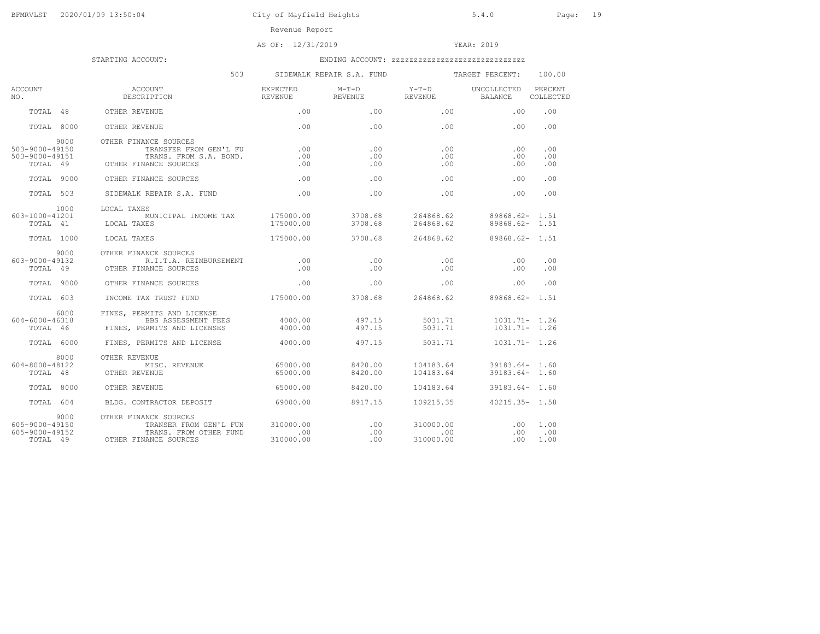AS OF: 12/31/2019 YEAR: 2019

|                                                            | 503                                                                                                |                                      | SIDEWALK REPAIR S.A. FUND                          |                               | TARGET PERCENT:                        | 100.00              |
|------------------------------------------------------------|----------------------------------------------------------------------------------------------------|--------------------------------------|----------------------------------------------------|-------------------------------|----------------------------------------|---------------------|
| ACCOUNT<br>NO.                                             | ACCOUNT<br><b>DESCRIPTION</b>                                                                      | EXPECTED                             | $M-T-D$<br>REVENUE REVENUE REVENUE REVENUE BALANCE | $Y-T-D$                       | UNCOLLECTED PERCENT                    | COLLECTED           |
| TOTAL 48                                                   | OTHER REVENUE                                                                                      | $.00 -$                              | $.00 -$                                            |                               | .00<br>.00                             | .00                 |
| TOTAL 8000                                                 | OTHER REVENUE                                                                                      | .00                                  | .00                                                | .00                           | .00                                    | .00                 |
| 9000<br>$503 - 9000 - 49150$<br>503-9000-49151<br>TOTAL 49 | OTHER FINANCE SOURCES<br>TRANSFER FROM GEN'L FU<br>TRANS. FROM S.A. BOND.<br>OTHER FINANCE SOURCES | .00<br>.00<br>.00                    | .00.<br>.00<br>.00                                 | .00<br>.00<br>.00             | .00<br>.00<br>.00                      | .00<br>.00<br>.00   |
| TOTAL 9000                                                 | OTHER FINANCE SOURCES                                                                              | .00                                  | .00                                                | .00.                          | .00                                    | .00                 |
| TOTAL 503                                                  | SIDEWALK REPAIR S.A. FUND                                                                          | .00                                  | .00                                                | .00                           | .00                                    | .00                 |
| 1000<br>603-1000-41201<br>TOTAL 41                         | LOCAL TAXES<br>MUNICIPAL INCOME TAX 175000.00<br>LOCAL TAXES                                       | 175000.00                            | 3708.68<br>3708.68                                 | 264868.62<br>264868.62        | 89868.62- 1.51<br>$89868.62 - 1.51$    |                     |
| TOTAL 1000                                                 | LOCAL TAXES                                                                                        | 175000.00                            | 3708.68                                            |                               | 264868.62 89868.62- 1.51               |                     |
| 9000<br>603-9000-49132<br>TOTAL 49                         | OTHER FINANCE SOURCES<br>R.I.T.A. REIMBURSEMENT<br>OTHER FINANCE SOURCES                           | .00<br>.00                           | .00<br>.00                                         | .00<br>.00                    | .00<br>.00                             | .00<br>.00          |
| TOTAL 9000                                                 | OTHER FINANCE SOURCES                                                                              | .00                                  | .00                                                | .00                           | .00                                    | .00                 |
| TOTAL 603                                                  | INCOME TAX TRUST FUND                                                                              | 175000.00                            | 3708.68                                            |                               | 264868.62 89868.62- 1.51               |                     |
| 6000<br>604-6000-46318<br>TOTAL 46                         | FINES, PERMITS AND LICENSE<br>BBS ASSESSMENT FEES<br>FINES, PERMITS AND LICENSES                   | 4000.00<br>4000.00                   | 497.15<br>497.15                                   | 5031.71<br>5031.71            | $1031.71 - 1.26$<br>$1031.71 - 1.26$   |                     |
| TOTAL 6000                                                 | FINES, PERMITS AND LICENSE 6000.00                                                                 |                                      | 497.15 5031.71                                     |                               | $1031.71 - 1.26$                       |                     |
| 8000<br>604-8000-48122<br>TOTAL 48                         | OTHER REVENUE<br>MISC. REVENUE<br>OTHER REVENUE                                                    | 65000.00<br>65000.00                 | 8420.00<br>8420.00                                 | 104183.64<br>104183.64        | $39183.64 - 1.60$<br>$39183.64 - 1.60$ |                     |
| TOTAL 8000                                                 | OTHER REVENUE                                                                                      | 65000.00                             | 8420.00                                            | 104183.64                     | $39183.64 - 1.60$                      |                     |
| TOTAL 604                                                  | BLDG. CONTRACTOR DEPOSIT 69000.00                                                                  |                                      | 8917.15                                            | 109215.35                     | $40215.35 - 1.58$                      |                     |
| 9000<br>605-9000-49150<br>605-9000-49152<br>TOTAL 49       | OTHER FINANCE SOURCES<br>TRANSER FROM GEN'L FUN<br>TRANS. FROM OTHER FUND<br>OTHER FINANCE SOURCES | 310000.00<br>$\sim$ 0.0<br>310000.00 | .00<br>.00<br>.00                                  | 310000.00<br>.00<br>310000.00 | .00<br>.00<br>.00                      | 1.00<br>.00<br>1.00 |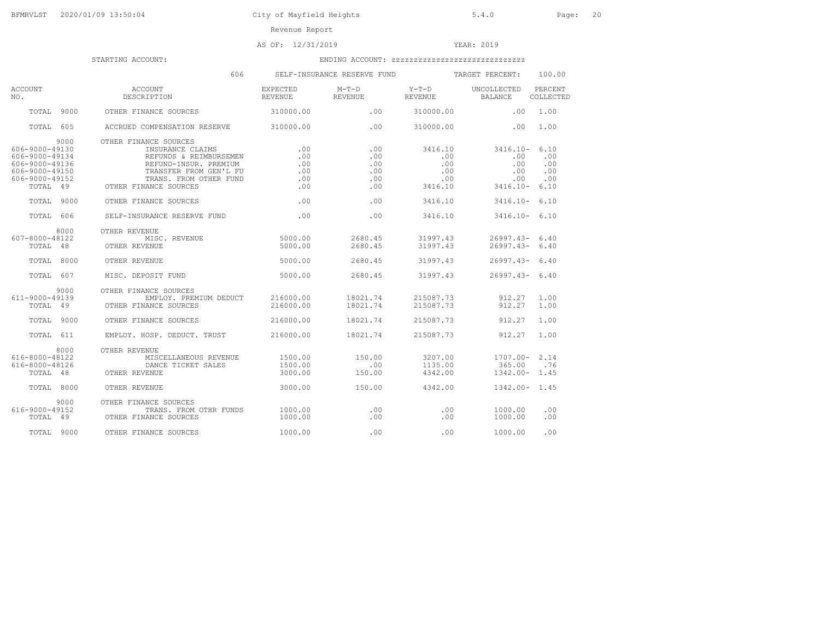# AS OF: 12/31/2019 YEAR: 2019

|                                                                                                            | 606                                                                                                                                                                       |                                        | SELF-INSURANCE RESERVE FUND            |                                                | TARGET PERCENT:                                          | 100.00                                   |
|------------------------------------------------------------------------------------------------------------|---------------------------------------------------------------------------------------------------------------------------------------------------------------------------|----------------------------------------|----------------------------------------|------------------------------------------------|----------------------------------------------------------|------------------------------------------|
| ACCOUNT<br>NO.                                                                                             | ACCOUNT<br>DESCRIPTION                                                                                                                                                    | EXPECTED<br>REVENUE                    | M-T-D<br>REVENUE                       | $Y-T-D$<br><b>REVENUE</b>                      | UNCOLLECTED<br>BALANCE                                   | PERCENT<br>COLLECTED                     |
| TOTAL 9000                                                                                                 | OTHER FINANCE SOURCES                                                                                                                                                     | 310000.00                              | .00                                    | 310000.00                                      | .00                                                      | 1.00                                     |
| TOTAL 605                                                                                                  | ACCRUED COMPENSATION RESERVE 310000.00                                                                                                                                    |                                        | .00                                    | 310000.00                                      | .00                                                      | 1.00                                     |
| 9000<br>606-9000-49130<br>606-9000-49134<br>606-9000-49136<br>606-9000-49150<br>606-9000-49152<br>TOTAL 49 | OTHER FINANCE SOURCES<br>INSURANCE CLAIMS<br>REFUNDS & REIMBURSEMEN<br>REFUND-INSUR. PREMIUM<br>TRANSFER FROM GEN'L FU<br>TRANS. FROM OTHER FUND<br>OTHER FINANCE SOURCES | .00<br>.00<br>.00<br>.00<br>.00<br>.00 | .00<br>.00<br>.00<br>.00<br>.00<br>.00 | 3416.10<br>.00<br>.00<br>.00<br>.00<br>3416.10 | $3416.10 -$<br>.00<br>$.00 \,$<br>.00<br>.00<br>3416.10- | 6.10<br>.00<br>.00<br>.00<br>.00<br>6.10 |
| TOTAL 9000                                                                                                 | OTHER FINANCE SOURCES                                                                                                                                                     | .00                                    | .00                                    | 3416.10                                        | $3416.10 -$                                              | 6.10                                     |
| TOTAL 606                                                                                                  | SELF-INSURANCE RESERVE FUND                                                                                                                                               | .00                                    | .00                                    | 3416.10                                        | $3416.10 - 6.10$                                         |                                          |
| 8000<br>607-8000-48122<br>TOTAL 48                                                                         | OTHER REVENUE<br>MISC. REVENUE<br>OTHER REVENUE                                                                                                                           | 5000.00<br>5000.00                     | 2680.45<br>2680.45                     | 31997.43<br>31997.43                           | 26997.43-<br>$26997.43 - 6.40$                           | 6.40                                     |
| TOTAL 8000                                                                                                 | OTHER REVENUE                                                                                                                                                             | 5000.00                                | 2680.45                                | 31997.43                                       | $26997.43 - 6.40$                                        |                                          |
| TOTAL 607                                                                                                  | MISC. DEPOSIT FUND                                                                                                                                                        | 5000.00                                | 2680.45                                | 31997.43                                       | $26997.43 - 6.40$                                        |                                          |
| 9000<br>611-9000-49139<br>TOTAL 49                                                                         | OTHER FINANCE SOURCES<br>EMPLOY. PREMIUM DEDUCT<br>OTHER FINANCE SOURCES                                                                                                  | 216000.00<br>216000.00                 | 18021.74<br>18021.74                   | 215087.73<br>215087.73                         | 912.27<br>912.27                                         | 1.00<br>1.00                             |
| TOTAL 9000                                                                                                 | OTHER FINANCE SOURCES                                                                                                                                                     | 216000.00                              | 18021.74                               | 215087.73                                      | 912.27                                                   | 1.00                                     |
| TOTAL 611                                                                                                  | EMPLOY. HOSP. DEDUCT. TRUST                                                                                                                                               | 216000.00                              | 18021.74                               | 215087.73                                      | 912.27                                                   | 1.00                                     |
| 8000<br>616-8000-48122<br>616-8000-48126<br>TOTAL 48                                                       | OTHER REVENUE<br>MISCELLANEOUS REVENUE<br>DANCE TICKET SALES<br>OTHER REVENUE                                                                                             | 1500.00<br>1500.00<br>3000.00          | 150.00<br>.00<br>150.00                | 3207.00<br>1135.00<br>4342.00                  | $1707.00 - 2.14$<br>365.00<br>1342.00-                   | .76<br>1.45                              |
| TOTAL 8000                                                                                                 | OTHER REVENUE                                                                                                                                                             | 3000.00                                | 150.00                                 | 4342.00                                        | $1342.00 - 1.45$                                         |                                          |
| 9000<br>$616 - 9000 - 49152$<br>TOTAL 49                                                                   | OTHER FINANCE SOURCES<br>TRANS. FROM OTHR FUNDS<br>OTHER FINANCE SOURCES                                                                                                  | 1000.00<br>1000.00                     | .00<br>.00                             | .00<br>.00                                     | 1000.00<br>1000.00                                       | .00<br>.00                               |
| TOTAL 9000                                                                                                 | OTHER FINANCE SOURCES                                                                                                                                                     | 1000.00                                | .00                                    | .00                                            | 1000.00                                                  | .00                                      |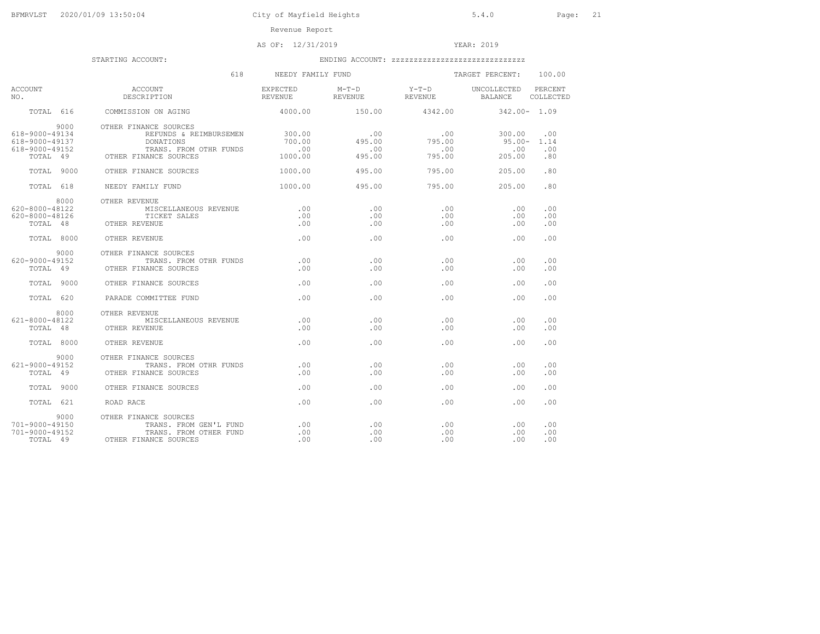AS OF: 12/31/2019 YEAR: 2019

|                                                                        | 618                                                                                                             | NEEDY FAMILY FUND                        |                                |                                | TARGET PERCENT:                   | 100.00                    |
|------------------------------------------------------------------------|-----------------------------------------------------------------------------------------------------------------|------------------------------------------|--------------------------------|--------------------------------|-----------------------------------|---------------------------|
| ACCOUNT<br>NO.                                                         | ACCOUNT<br>DESCRIPTION                                                                                          | EXPECTED<br>REVENUE                      | $M-T-D$<br>REVENUE             | $Y-T-D$<br>REVENUE BALANCE     | UNCOLLECTED PERCENT               | COLLECTED                 |
| TOTAL 616                                                              | COMMISSION ON AGING                                                                                             | 4000.00                                  | 150.00                         | 4342.00                        | $342.00 - 1.09$                   |                           |
| 9000<br>618-9000-49134<br>618-9000-49137<br>618-9000-49152<br>TOTAL 49 | OTHER FINANCE SOURCES<br>REFUNDS & REIMBURSEMEN<br>DONATIONS<br>TRANS, FROM OTHR FUNDS<br>OTHER FINANCE SOURCES | 300.00<br>700.00<br>$\sim$ 00<br>1000.00 | .00<br>495.00<br>.00<br>495.00 | .00<br>795.00<br>.00<br>795.00 | 300.00<br>95.00-<br>.00<br>205.00 | .00<br>1.14<br>.00<br>.80 |
| TOTAL 9000                                                             | OTHER FINANCE SOURCES                                                                                           | 1000.00                                  | 495.00                         | 795.00                         | 205.00                            | .80                       |
| TOTAL 618                                                              | NEEDY FAMILY FUND                                                                                               | 1000.00                                  | 495.00                         | 795.00                         | 205.00                            | .80                       |
| 8000<br>620-8000-48122<br>620-8000-48126<br>TOTAL 48                   | OTHER REVENUE<br>MISCELLANEOUS REVENUE<br>TICKET SALES<br>OTHER REVENUE                                         | $\sim$ 00<br>.00<br>.00                  | .00<br>.00<br>.00.             | .00<br>.00<br>.00              | .00<br>.00<br>.00                 | .00<br>.00<br>.00         |
| TOTAL 8000                                                             | OTHER REVENUE                                                                                                   | .00                                      | .00.                           | .00                            | .00                               | .00                       |
| 9000<br>620-9000-49152<br>TOTAL 49<br>TOTAL 9000                       | OTHER FINANCE SOURCES<br>TRANS. FROM OTHR FUNDS<br>OTHER FINANCE SOURCES<br>OTHER FINANCE SOURCES               | .00<br>.00<br>.00                        | .00<br>.00.<br>.00             | .00<br>.00<br>.00              | .00<br>.00<br>.00                 | .00<br>.00<br>.00         |
| TOTAL 620                                                              | PARADE COMMITTEE FUND                                                                                           | .00                                      | .00.                           | .00                            | .00                               | .00                       |
| 8000<br>$621 - 8000 - 48122$<br>TOTAL 48<br>TOTAL 8000                 | OTHER REVENUE<br>MISCELLANEOUS REVENUE<br>OTHER REVENUE<br>OTHER REVENUE                                        | .00<br>.00<br>.00                        | .00.<br>.00<br>.00.            | .00<br>.00<br>.00              | .00<br>.00<br>.00                 | .00<br>.00<br>.00         |
| 9000<br>$621 - 9000 - 49152$<br>TOTAL 49                               | OTHER FINANCE SOURCES<br>TRANS. FROM OTHR FUNDS<br>OTHER FINANCE SOURCES                                        | .00<br>.00                               | .00.<br>.00                    | .00<br>.00                     | .00<br>.00                        | .00<br>.00                |
| TOTAL 9000                                                             | OTHER FINANCE SOURCES                                                                                           | .00                                      | .00                            | .00                            | .00                               | .00                       |
| TOTAL 621                                                              | ROAD RACE                                                                                                       | .00                                      | .00                            | .00                            | .00                               | .00                       |
| 9000<br>$701 - 9000 - 49150$<br>$701 - 9000 - 49152$<br>TOTAL 49       | OTHER FINANCE SOURCES<br>TRANS. FROM GEN'L FUND<br>TRANS. FROM OTHER FUND<br>OTHER FINANCE SOURCES              | .00<br>.00<br>.00                        | .00.<br>.00<br>.00             | .00<br>.00<br>.00              | .00<br>.00<br>.00                 | .00<br>.00<br>.00         |